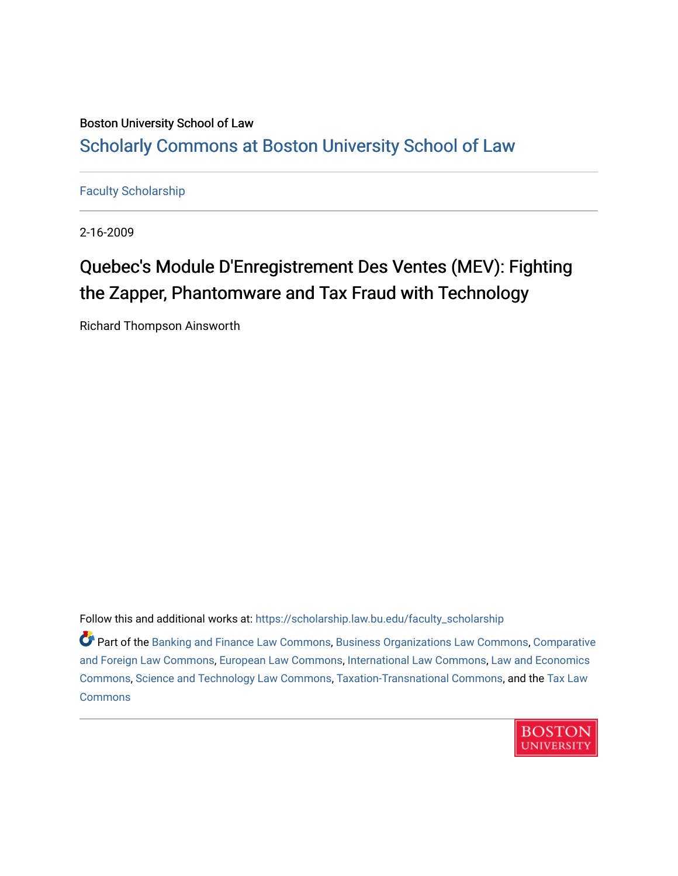## Boston University School of Law [Scholarly Commons at Boston University School of Law](https://scholarship.law.bu.edu/)

[Faculty Scholarship](https://scholarship.law.bu.edu/faculty_scholarship)

2-16-2009

# Quebec's Module D'Enregistrement Des Ventes (MEV): Fighting the Zapper, Phantomware and Tax Fraud with Technology

Richard Thompson Ainsworth

Follow this and additional works at: [https://scholarship.law.bu.edu/faculty\\_scholarship](https://scholarship.law.bu.edu/faculty_scholarship?utm_source=scholarship.law.bu.edu%2Ffaculty_scholarship%2F1482&utm_medium=PDF&utm_campaign=PDFCoverPages)

Part of the [Banking and Finance Law Commons,](http://network.bepress.com/hgg/discipline/833?utm_source=scholarship.law.bu.edu%2Ffaculty_scholarship%2F1482&utm_medium=PDF&utm_campaign=PDFCoverPages) [Business Organizations Law Commons](http://network.bepress.com/hgg/discipline/900?utm_source=scholarship.law.bu.edu%2Ffaculty_scholarship%2F1482&utm_medium=PDF&utm_campaign=PDFCoverPages), [Comparative](http://network.bepress.com/hgg/discipline/836?utm_source=scholarship.law.bu.edu%2Ffaculty_scholarship%2F1482&utm_medium=PDF&utm_campaign=PDFCoverPages) [and Foreign Law Commons,](http://network.bepress.com/hgg/discipline/836?utm_source=scholarship.law.bu.edu%2Ffaculty_scholarship%2F1482&utm_medium=PDF&utm_campaign=PDFCoverPages) [European Law Commons,](http://network.bepress.com/hgg/discipline/1084?utm_source=scholarship.law.bu.edu%2Ffaculty_scholarship%2F1482&utm_medium=PDF&utm_campaign=PDFCoverPages) [International Law Commons](http://network.bepress.com/hgg/discipline/609?utm_source=scholarship.law.bu.edu%2Ffaculty_scholarship%2F1482&utm_medium=PDF&utm_campaign=PDFCoverPages), [Law and Economics](http://network.bepress.com/hgg/discipline/612?utm_source=scholarship.law.bu.edu%2Ffaculty_scholarship%2F1482&utm_medium=PDF&utm_campaign=PDFCoverPages)  [Commons](http://network.bepress.com/hgg/discipline/612?utm_source=scholarship.law.bu.edu%2Ffaculty_scholarship%2F1482&utm_medium=PDF&utm_campaign=PDFCoverPages), [Science and Technology Law Commons,](http://network.bepress.com/hgg/discipline/875?utm_source=scholarship.law.bu.edu%2Ffaculty_scholarship%2F1482&utm_medium=PDF&utm_campaign=PDFCoverPages) [Taxation-Transnational Commons](http://network.bepress.com/hgg/discipline/883?utm_source=scholarship.law.bu.edu%2Ffaculty_scholarship%2F1482&utm_medium=PDF&utm_campaign=PDFCoverPages), and the [Tax Law](http://network.bepress.com/hgg/discipline/898?utm_source=scholarship.law.bu.edu%2Ffaculty_scholarship%2F1482&utm_medium=PDF&utm_campaign=PDFCoverPages)  **[Commons](http://network.bepress.com/hgg/discipline/898?utm_source=scholarship.law.bu.edu%2Ffaculty_scholarship%2F1482&utm_medium=PDF&utm_campaign=PDFCoverPages)** 

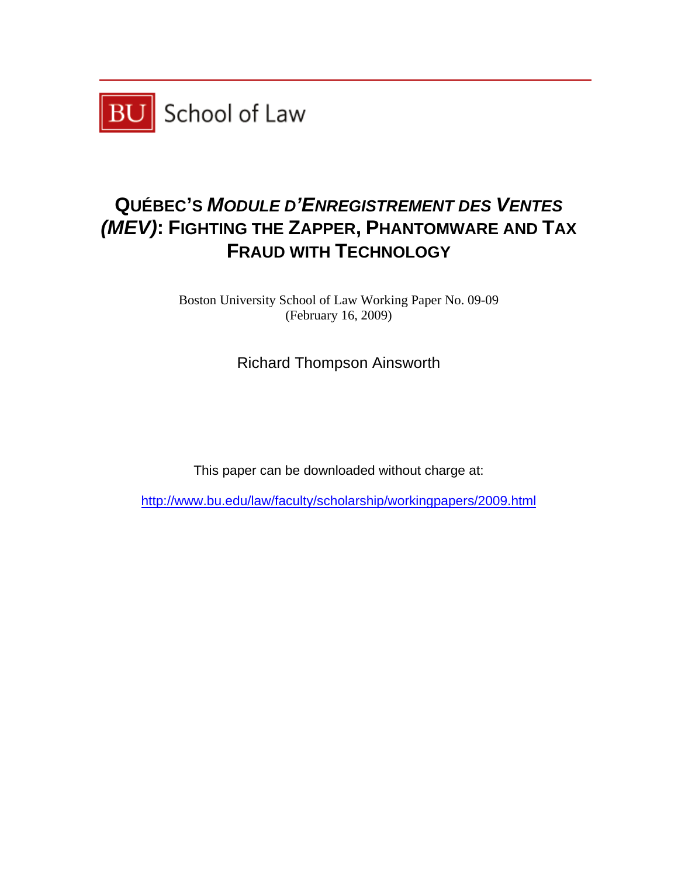

## **QUÉBEC'S** *MODULE D'ENREGISTREMENT DES VENTES (MEV)***: FIGHTING THE ZAPPER, PHANTOMWARE AND TAX FRAUD WITH TECHNOLOGY**

Boston University School of Law Working Paper No. 09-09 (February 16, 2009)

### Richard Thompson Ainsworth

This paper can be downloaded without charge at:

http://www.bu.edu/law/faculty/scholarship/workingpapers/2009.html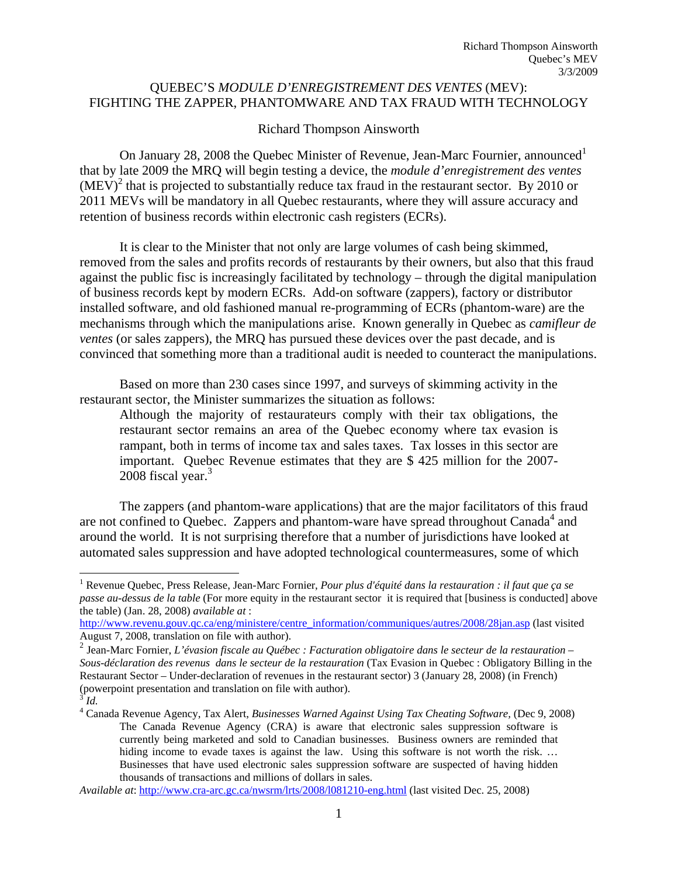#### QUEBEC'S *MODULE D'ENREGISTREMENT DES VENTES* (MEV): FIGHTING THE ZAPPER, PHANTOMWARE AND TAX FRAUD WITH TECHNOLOGY

#### Richard Thompson Ainsworth

On January 28, 2008 the Quebec Minister of Revenue, Jean-Marc Fournier, announced<sup>1</sup> that by late 2009 the MRQ will begin testing a device, the *module d'enregistrement des ventes*  $(MEV)^2$  that is projected to substantially reduce tax fraud in the restaurant sector. By 2010 or 2011 MEVs will be mandatory in all Quebec restaurants, where they will assure accuracy and retention of business records within electronic cash registers (ECRs).

It is clear to the Minister that not only are large volumes of cash being skimmed, removed from the sales and profits records of restaurants by their owners, but also that this fraud against the public fisc is increasingly facilitated by technology – through the digital manipulation of business records kept by modern ECRs. Add-on software (zappers), factory or distributor installed software, and old fashioned manual re-programming of ECRs (phantom-ware) are the mechanisms through which the manipulations arise. Known generally in Quebec as *camifleur de ventes* (or sales zappers), the MRQ has pursued these devices over the past decade, and is convinced that something more than a traditional audit is needed to counteract the manipulations.

Based on more than 230 cases since 1997, and surveys of skimming activity in the restaurant sector, the Minister summarizes the situation as follows:

Although the majority of restaurateurs comply with their tax obligations, the restaurant sector remains an area of the Quebec economy where tax evasion is rampant, both in terms of income tax and sales taxes. Tax losses in this sector are important. Quebec Revenue estimates that they are \$ 425 million for the 2007-  $2008$  fiscal year.<sup>3</sup>

The zappers (and phantom-ware applications) that are the major facilitators of this fraud are not confined to Quebec. Zappers and phantom-ware have spread throughout Canada<sup>4</sup> and around the world. It is not surprising therefore that a number of jurisdictions have looked at automated sales suppression and have adopted technological countermeasures, some of which

<sup>1</sup> Revenue Quebec, Press Release, Jean-Marc Fornier, *Pour plus d'équité dans la restauration : il faut que ça se passe au-dessus de la table* (For more equity in the restaurant sector it is required that [business is conducted] above the table) (Jan. 28, 2008) *available at* :

http://www.revenu.gouv.qc.ca/eng/ministere/centre\_information/communiques/autres/2008/28jan.asp (last visited August 7, 2008, translation on file with author).

<sup>2</sup> Jean-Marc Fornier, *L'évasion fiscale au Québec : Facturation obligatoire dans le secteur de la restauration – Sous-déclaration des revenus dans le secteur de la restauration* (Tax Evasion in Quebec : Obligatory Billing in the Restaurant Sector – Under-declaration of revenues in the restaurant sector) 3 (January 28, 2008) (in French) (powerpoint presentation and translation on file with author).

<sup>3</sup> *Id.* 

<sup>4</sup> Canada Revenue Agency, Tax Alert, *Businesses Warned Against Using Tax Cheating Software,* (Dec 9, 2008) The Canada Revenue Agency (CRA) is aware that electronic sales suppression software is currently being marketed and sold to Canadian businesses. Business owners are reminded that hiding income to evade taxes is against the law. Using this software is not worth the risk. ... Businesses that have used electronic sales suppression software are suspected of having hidden thousands of transactions and millions of dollars in sales.

*Available at*: http://www.cra-arc.gc.ca/nwsrm/lrts/2008/l081210-eng.html (last visited Dec. 25, 2008)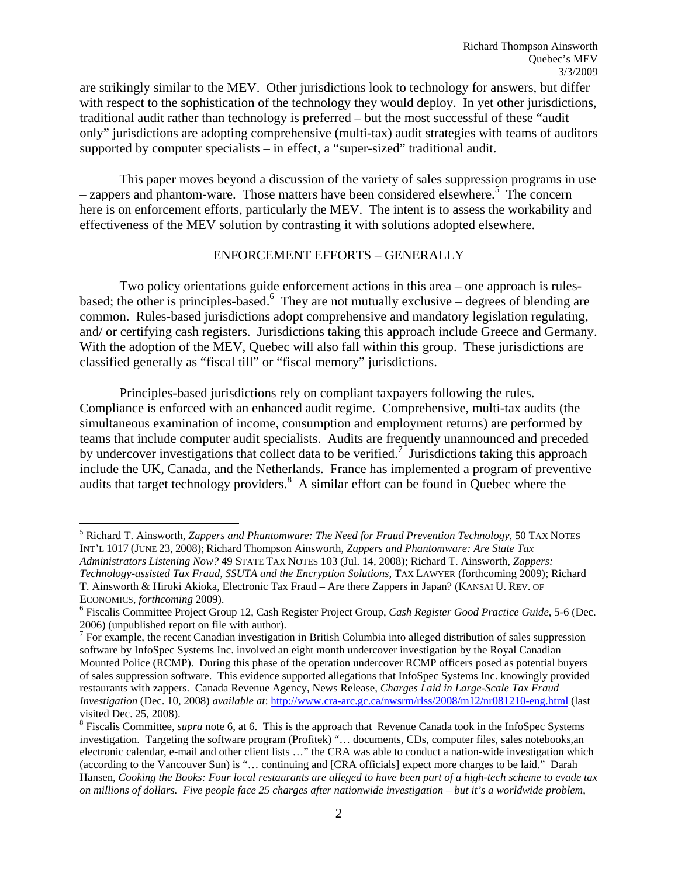are strikingly similar to the MEV. Other jurisdictions look to technology for answers, but differ with respect to the sophistication of the technology they would deploy. In yet other jurisdictions, traditional audit rather than technology is preferred – but the most successful of these "audit only" jurisdictions are adopting comprehensive (multi-tax) audit strategies with teams of auditors supported by computer specialists – in effect, a "super-sized" traditional audit.

This paper moves beyond a discussion of the variety of sales suppression programs in use  $-$  zappers and phantom-ware. Those matters have been considered elsewhere.<sup>5</sup> The concern here is on enforcement efforts, particularly the MEV. The intent is to assess the workability and effectiveness of the MEV solution by contrasting it with solutions adopted elsewhere.

#### ENFORCEMENT EFFORTS – GENERALLY

Two policy orientations guide enforcement actions in this area – one approach is rulesbased; the other is principles-based. $6$  They are not mutually exclusive – degrees of blending are common. Rules-based jurisdictions adopt comprehensive and mandatory legislation regulating, and/ or certifying cash registers. Jurisdictions taking this approach include Greece and Germany. With the adoption of the MEV, Quebec will also fall within this group. These jurisdictions are classified generally as "fiscal till" or "fiscal memory" jurisdictions.

Principles-based jurisdictions rely on compliant taxpayers following the rules. Compliance is enforced with an enhanced audit regime. Comprehensive, multi-tax audits (the simultaneous examination of income, consumption and employment returns) are performed by teams that include computer audit specialists. Audits are frequently unannounced and preceded by undercover investigations that collect data to be verified.<sup>7</sup> Jurisdictions taking this approach include the UK, Canada, and the Netherlands. France has implemented a program of preventive audits that target technology providers. $8 \text{ A similar effort}$  can be found in Quebec where the

 $\overline{a}$ 5 Richard T. Ainsworth, *Zappers and Phantomware: The Need for Fraud Prevention Technology*, 50 TAX NOTES INT'L 1017 (JUNE 23, 2008); Richard Thompson Ainsworth, *Zappers and Phantomware: Are State Tax Administrators Listening Now?* 49 STATE TAX NOTES 103 (Jul. 14, 2008); Richard T. Ainsworth, *Zappers: Technology-assisted Tax Fraud, SSUTA and the Encryption Solutions*, TAX LAWYER (forthcoming 2009); Richard

T. Ainsworth & Hiroki Akioka, Electronic Tax Fraud – Are there Zappers in Japan? (KANSAI U. REV. OF ECONOMICS, *forthcoming* 2009).

Fiscalis Committee Project Group 12, Cash Register Project Group, *Cash Register Good Practice Guide*, 5-6 (Dec. 2006) (unpublished report on file with author).<br><sup>7</sup> For example, the recent Canadian investigation in British Columbia into alleged distribution of sales suppression

software by InfoSpec Systems Inc. involved an eight month undercover investigation by the Royal Canadian Mounted Police (RCMP). During this phase of the operation undercover RCMP officers posed as potential buyers of sales suppression software. This evidence supported allegations that InfoSpec Systems Inc. knowingly provided restaurants with zappers. Canada Revenue Agency, News Release, *Charges Laid in Large-Scale Tax Fraud Investigation* (Dec. 10, 2008) *available at*: http://www.cra-arc.gc.ca/nwsrm/rlss/2008/m12/nr081210-eng.html (last visited Dec. 25, 2008).

Fiscalis Committee, *supra* note 6, at 6. This is the approach that Revenue Canada took in the InfoSpec Systems investigation. Targeting the software program (Profitek) "… documents, CDs, computer files, sales notebooks,an electronic calendar, e-mail and other client lists …" the CRA was able to conduct a nation-wide investigation which (according to the Vancouver Sun) is "… continuing and [CRA officials] expect more charges to be laid." Darah Hansen, *Cooking the Books: Four local restaurants are alleged to have been part of a high-tech scheme to evade tax on millions of dollars. Five people face 25 charges after nationwide investigation – but it's a worldwide problem*,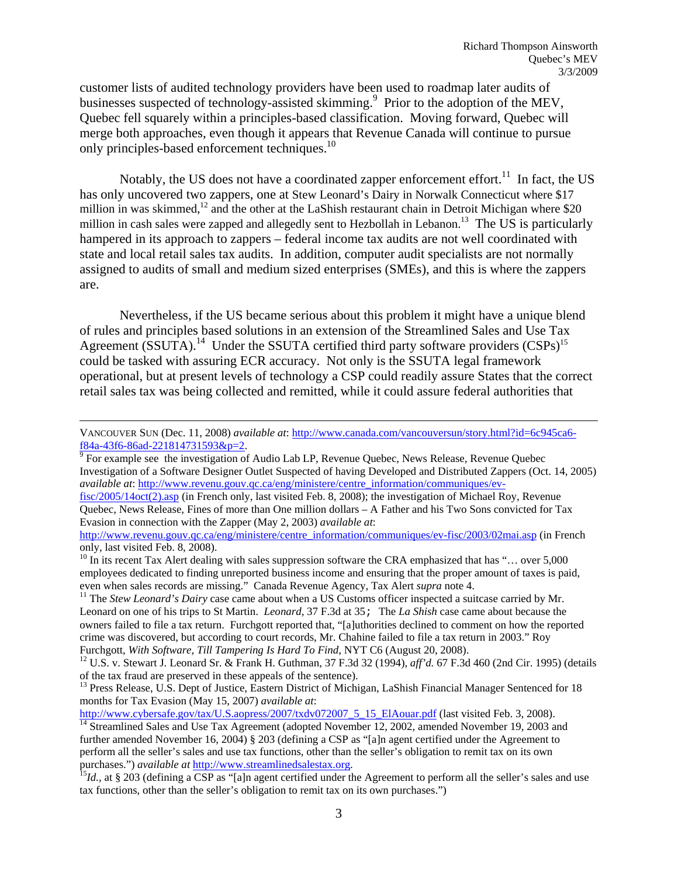customer lists of audited technology providers have been used to roadmap later audits of businesses suspected of technology-assisted skimming.<sup>9</sup> Prior to the adoption of the MEV, Quebec fell squarely within a principles-based classification. Moving forward, Quebec will merge both approaches, even though it appears that Revenue Canada will continue to pursue only principles-based enforcement techniques.<sup>10</sup>

Notably, the US does not have a coordinated zapper enforcement effort.<sup>11</sup> In fact, the US has only uncovered two zappers, one at Stew Leonard's Dairy in Norwalk Connecticut where \$17 million in was skimmed,<sup>12</sup> and the other at the LaShish restaurant chain in Detroit Michigan where \$20 million in cash sales were zapped and allegedly sent to Hezbollah in Lebanon.<sup>13</sup> The US is particularly hampered in its approach to zappers – federal income tax audits are not well coordinated with state and local retail sales tax audits. In addition, computer audit specialists are not normally assigned to audits of small and medium sized enterprises (SMEs), and this is where the zappers are.

Nevertheless, if the US became serious about this problem it might have a unique blend of rules and principles based solutions in an extension of the Streamlined Sales and Use Tax Agreement  $(SSUTA)$ <sup>14</sup> Under the SSUTA certified third party software providers  $(CSPs)$ <sup>15</sup> could be tasked with assuring ECR accuracy. Not only is the SSUTA legal framework operational, but at present levels of technology a CSP could readily assure States that the correct retail sales tax was being collected and remitted, while it could assure federal authorities that

l

http://www.revenu.gouv.qc.ca/eng/ministere/centre\_information/communiques/ev-fisc/2003/02mai.asp (in French only, last visited Feb. 8, 2008).

<sup>11</sup> The *Stew Leonard's Dairy* case came about when a US Customs officer inspected a suitcase carried by Mr. Leonard on one of his trips to St Martin. *Leonard,* 37 F.3d at 35; The *La Shish* case came about because the owners failed to file a tax return. Furchgott reported that, "[a]uthorities declined to comment on how the reported crime was discovered, but according to court records, Mr. Chahine failed to file a tax return in 2003." Roy

VANCOUVER SUN (Dec. 11, 2008) *available at*: http://www.canada.com/vancouversun/story.html?id=6c945ca6 f84a-43f6-86ad-221814731593&p=2. 9

 $\degree$  For example see the investigation of Audio Lab LP, Revenue Ouebec, News Release, Revenue Ouebec Investigation of a Software Designer Outlet Suspected of having Developed and Distributed Zappers (Oct. 14, 2005) *available at*: http://www.revenu.gouv.qc.ca/eng/ministere/centre\_information/communiques/ev-

fisc/2005/14oct(2).asp (in French only, last visited Feb. 8, 2008); the investigation of Michael Roy, Revenue Quebec, News Release, Fines of more than One million dollars – A Father and his Two Sons convicted for Tax Evasion in connection with the Zapper (May 2, 2003) *available at*:

<sup>&</sup>lt;sup>10</sup> In its recent Tax Alert dealing with sales suppression software the CRA emphasized that has "... over 5,000 employees dedicated to finding unreported business income and ensuring that the proper amount of taxes is paid, even when sales records are missing." Canada Revenue Agency, Tax Alert *supra* note 4.

Furchgott, *With Software, Till Tampering Is Hard To Find*, NYT C6 (August 20, 2008).<br><sup>12</sup> U.S. v. Stewart J. Leonard Sr. & Frank H. Guthman, 37 F.3d 32 (1994), *aff'd.* 67 F.3d 460 (2nd Cir. 1995) (details of the tax frau

<sup>&</sup>lt;sup>13</sup> Press Release, U.S. Dept of Justice, Eastern District of Michigan, LaShish Financial Manager Sentenced for 18 months for Tax Evasion (May 15, 2007) *available at*:<br>http://www.cybersafe.gov/tax/U.S.aopress/2007/txdv072007 5 15 ElAouar.pdf (last visited Feb. 3, 2008).

<sup>&</sup>lt;sup>14</sup> Streamlined Sales and Use Tax Agreement (adopted November 12, 2002, amended November 19, 2003 and further amended November 16, 2004) § 203 (defining a CSP as "[a]n agent certified under the Agreement to perform all the seller's sales and use tax functions, other than the seller's obligation to remit tax on its own purchases.") *available at* http://www.streamlinedsalestax.org.<br><sup>15</sup>*Id.*, at § 203 (defining a CSP as "[a]n agent certified under the Agreement to perform all the seller's sales and use

tax functions, other than the seller's obligation to remit tax on its own purchases.")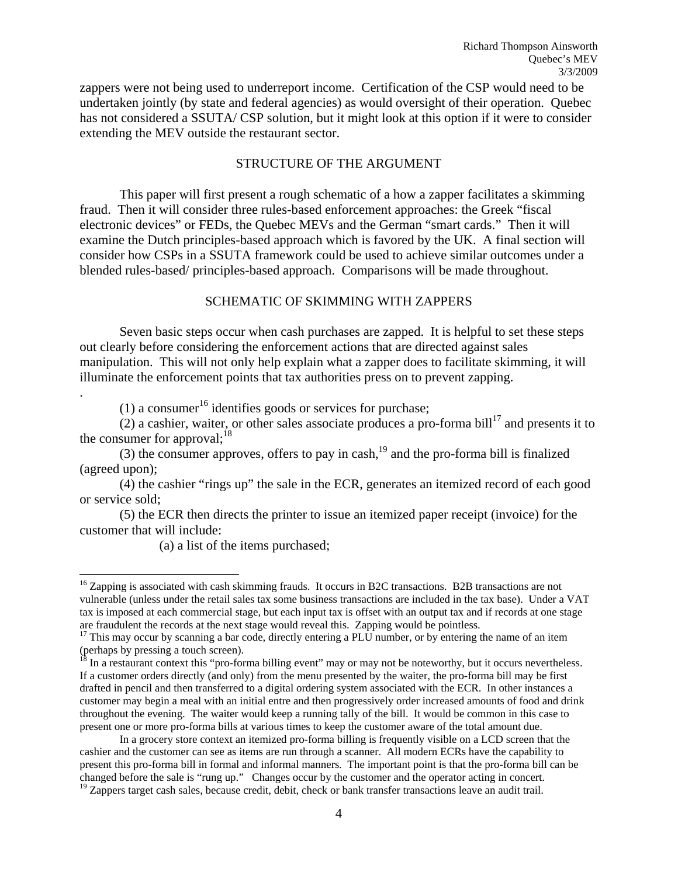zappers were not being used to underreport income. Certification of the CSP would need to be undertaken jointly (by state and federal agencies) as would oversight of their operation. Quebec has not considered a SSUTA/ CSP solution, but it might look at this option if it were to consider extending the MEV outside the restaurant sector.

#### STRUCTURE OF THE ARGUMENT

This paper will first present a rough schematic of a how a zapper facilitates a skimming fraud. Then it will consider three rules-based enforcement approaches: the Greek "fiscal electronic devices" or FEDs, the Quebec MEVs and the German "smart cards." Then it will examine the Dutch principles-based approach which is favored by the UK. A final section will consider how CSPs in a SSUTA framework could be used to achieve similar outcomes under a blended rules-based/ principles-based approach. Comparisons will be made throughout.

#### SCHEMATIC OF SKIMMING WITH ZAPPERS

 Seven basic steps occur when cash purchases are zapped. It is helpful to set these steps out clearly before considering the enforcement actions that are directed against sales manipulation. This will not only help explain what a zapper does to facilitate skimming, it will illuminate the enforcement points that tax authorities press on to prevent zapping.

(1) a consumer<sup>16</sup> identifies goods or services for purchase;

(2) a cashier, waiter, or other sales associate produces a pro-forma bill<sup>17</sup> and presents it to the consumer for approval;  $18$ 

(3) the consumer approves, offers to pay in cash,<sup>19</sup> and the pro-forma bill is finalized (agreed upon);

(4) the cashier "rings up" the sale in the ECR, generates an itemized record of each good or service sold;

(5) the ECR then directs the printer to issue an itemized paper receipt (invoice) for the customer that will include:

(a) a list of the items purchased;

.

<sup>&</sup>lt;sup>16</sup> Zapping is associated with cash skimming frauds. It occurs in B2C transactions. B2B transactions are not vulnerable (unless under the retail sales tax some business transactions are included in the tax base). Under a VAT tax is imposed at each commercial stage, but each input tax is offset with an output tax and if records at one stage are fraudulent the records at the next stage would reveal this. Zapping would be pointless.

<sup>&</sup>lt;sup>17</sup> This may occur by scanning a bar code, directly entering a PLU number, or by entering the name of an item (perhaps by pressing a touch screen).

 $18$  In a restaurant context this "pro-forma billing event" may or may not be noteworthy, but it occurs nevertheless. If a customer orders directly (and only) from the menu presented by the waiter, the pro-forma bill may be first drafted in pencil and then transferred to a digital ordering system associated with the ECR. In other instances a customer may begin a meal with an initial entre and then progressively order increased amounts of food and drink throughout the evening. The waiter would keep a running tally of the bill. It would be common in this case to present one or more pro-forma bills at various times to keep the customer aware of the total amount due.

In a grocery store context an itemized pro-forma billing is frequently visible on a LCD screen that the cashier and the customer can see as items are run through a scanner. All modern ECRs have the capability to present this pro-forma bill in formal and informal manners. The important point is that the pro-forma bill can be changed before the sale is "rung up." Changes occur by the customer and the operator acting in concert. <sup>19</sup> Zappers target cash sales, because credit, debit, check or bank transfer transactions leave an audit trail.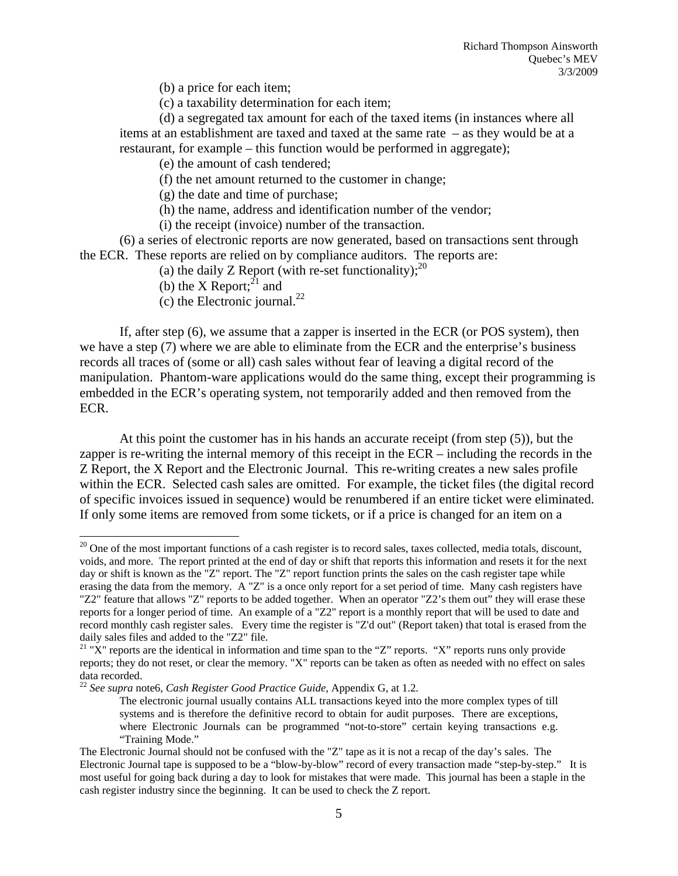(b) a price for each item;

(c) a taxability determination for each item;

(d) a segregated tax amount for each of the taxed items (in instances where all items at an establishment are taxed and taxed at the same rate – as they would be at a restaurant, for example – this function would be performed in aggregate);

(e) the amount of cash tendered;

(f) the net amount returned to the customer in change;

(g) the date and time of purchase;

(h) the name, address and identification number of the vendor;

(i) the receipt (invoice) number of the transaction.

(6) a series of electronic reports are now generated, based on transactions sent through the ECR. These reports are relied on by compliance auditors. The reports are:

(a) the daily Z Report (with re-set functionality);  $^{20}$ 

(b) the X Report; $^{21}$  and

l

(c) the Electronic journal.<sup>22</sup>

If, after step (6), we assume that a zapper is inserted in the ECR (or POS system), then we have a step (7) where we are able to eliminate from the ECR and the enterprise's business records all traces of (some or all) cash sales without fear of leaving a digital record of the manipulation. Phantom-ware applications would do the same thing, except their programming is embedded in the ECR's operating system, not temporarily added and then removed from the ECR.

At this point the customer has in his hands an accurate receipt (from step (5)), but the zapper is re-writing the internal memory of this receipt in the ECR – including the records in the Z Report, the X Report and the Electronic Journal. This re-writing creates a new sales profile within the ECR. Selected cash sales are omitted. For example, the ticket files (the digital record of specific invoices issued in sequence) would be renumbered if an entire ticket were eliminated. If only some items are removed from some tickets, or if a price is changed for an item on a

 $20$  One of the most important functions of a cash register is to record sales, taxes collected, media totals, discount, voids, and more. The report printed at the end of day or shift that reports this information and resets it for the next day or shift is known as the "Z" report. The "Z" report function prints the sales on the cash register tape while erasing the data from the memory. A "Z" is a once only report for a set period of time. Many cash registers have "Z2" feature that allows "Z" reports to be added together. When an operator "Z2's them out" they will erase these reports for a longer period of time. An example of a "Z2" report is a monthly report that will be used to date and record monthly cash register sales. Every time the register is "Z'd out" (Report taken) that total is erased from the daily sales files and added to the "Z2" file.

<sup>&</sup>lt;sup>21</sup> "X" reports are the identical in information and time span to the "Z" reports. "X" reports runs only provide reports; they do not reset, or clear the memory. "X" reports can be taken as often as needed with no effect on sales data recorded.

<sup>22</sup> *See supra* note6, *Cash Register Good Practice Guide*, Appendix G, at 1.2.

The electronic journal usually contains ALL transactions keyed into the more complex types of till systems and is therefore the definitive record to obtain for audit purposes. There are exceptions, where Electronic Journals can be programmed "not-to-store" certain keying transactions e.g. "Training Mode."

The Electronic Journal should not be confused with the "Z" tape as it is not a recap of the day's sales. The Electronic Journal tape is supposed to be a "blow-by-blow" record of every transaction made "step-by-step." It is most useful for going back during a day to look for mistakes that were made. This journal has been a staple in the cash register industry since the beginning. It can be used to check the Z report.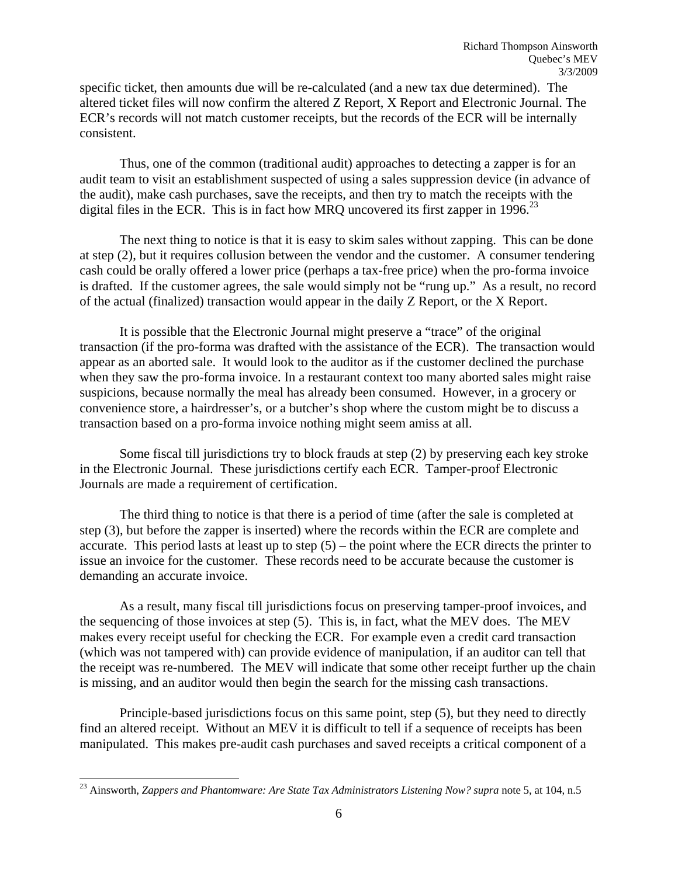specific ticket, then amounts due will be re-calculated (and a new tax due determined). The altered ticket files will now confirm the altered Z Report, X Report and Electronic Journal. The ECR's records will not match customer receipts, but the records of the ECR will be internally consistent.

Thus, one of the common (traditional audit) approaches to detecting a zapper is for an audit team to visit an establishment suspected of using a sales suppression device (in advance of the audit), make cash purchases, save the receipts, and then try to match the receipts with the digital files in the ECR. This is in fact how MRQ uncovered its first zapper in 1996.<sup>23</sup>

The next thing to notice is that it is easy to skim sales without zapping. This can be done at step (2), but it requires collusion between the vendor and the customer. A consumer tendering cash could be orally offered a lower price (perhaps a tax-free price) when the pro-forma invoice is drafted. If the customer agrees, the sale would simply not be "rung up." As a result, no record of the actual (finalized) transaction would appear in the daily Z Report, or the X Report.

It is possible that the Electronic Journal might preserve a "trace" of the original transaction (if the pro-forma was drafted with the assistance of the ECR). The transaction would appear as an aborted sale. It would look to the auditor as if the customer declined the purchase when they saw the pro-forma invoice. In a restaurant context too many aborted sales might raise suspicions, because normally the meal has already been consumed. However, in a grocery or convenience store, a hairdresser's, or a butcher's shop where the custom might be to discuss a transaction based on a pro-forma invoice nothing might seem amiss at all.

Some fiscal till jurisdictions try to block frauds at step (2) by preserving each key stroke in the Electronic Journal. These jurisdictions certify each ECR. Tamper-proof Electronic Journals are made a requirement of certification.

The third thing to notice is that there is a period of time (after the sale is completed at step (3), but before the zapper is inserted) where the records within the ECR are complete and accurate. This period lasts at least up to step  $(5)$  – the point where the ECR directs the printer to issue an invoice for the customer. These records need to be accurate because the customer is demanding an accurate invoice.

As a result, many fiscal till jurisdictions focus on preserving tamper-proof invoices, and the sequencing of those invoices at step (5). This is, in fact, what the MEV does. The MEV makes every receipt useful for checking the ECR. For example even a credit card transaction (which was not tampered with) can provide evidence of manipulation, if an auditor can tell that the receipt was re-numbered. The MEV will indicate that some other receipt further up the chain is missing, and an auditor would then begin the search for the missing cash transactions.

Principle-based jurisdictions focus on this same point, step (5), but they need to directly find an altered receipt. Without an MEV it is difficult to tell if a sequence of receipts has been manipulated. This makes pre-audit cash purchases and saved receipts a critical component of a

l <sup>23</sup> Ainsworth, *Zappers and Phantomware: Are State Tax Administrators Listening Now? supra* note 5, at 104, n.5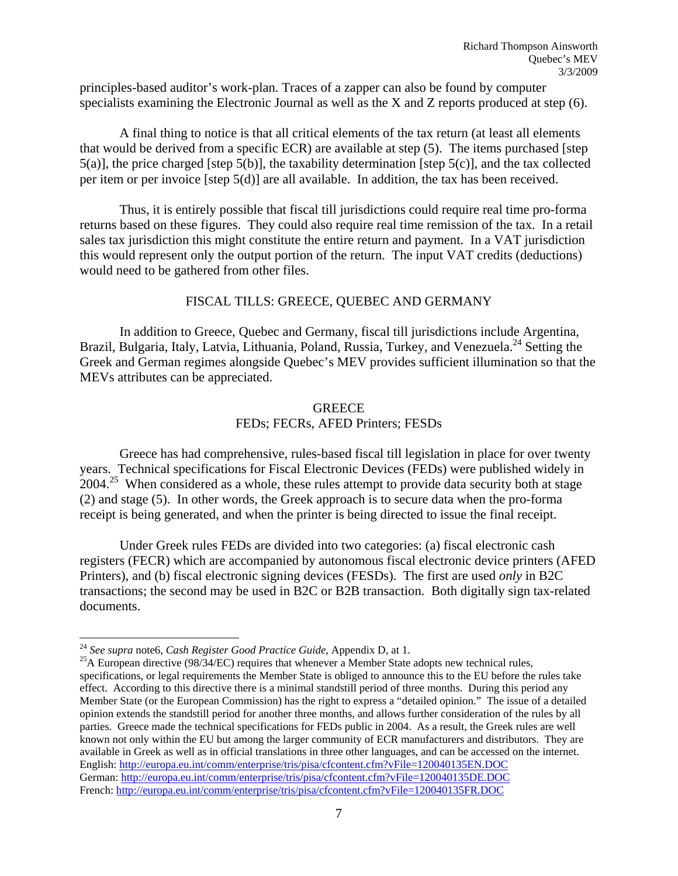principles-based auditor's work-plan. Traces of a zapper can also be found by computer specialists examining the Electronic Journal as well as the X and Z reports produced at step (6).

A final thing to notice is that all critical elements of the tax return (at least all elements that would be derived from a specific ECR) are available at step (5). The items purchased [step 5(a)], the price charged [step 5(b)], the taxability determination [step 5(c)], and the tax collected per item or per invoice [step 5(d)] are all available. In addition, the tax has been received.

Thus, it is entirely possible that fiscal till jurisdictions could require real time pro-forma returns based on these figures. They could also require real time remission of the tax. In a retail sales tax jurisdiction this might constitute the entire return and payment. In a VAT jurisdiction this would represent only the output portion of the return. The input VAT credits (deductions) would need to be gathered from other files.

#### FISCAL TILLS: GREECE, QUEBEC AND GERMANY

In addition to Greece, Quebec and Germany, fiscal till jurisdictions include Argentina, Brazil, Bulgaria, Italy, Latvia, Lithuania, Poland, Russia, Turkey, and Venezuela.<sup>24</sup> Setting the Greek and German regimes alongside Quebec's MEV provides sufficient illumination so that the MEVs attributes can be appreciated.

## **GREECE**

#### FEDs; FECRs, AFED Printers; FESDs

Greece has had comprehensive, rules-based fiscal till legislation in place for over twenty years. Technical specifications for Fiscal Electronic Devices (FEDs) were published widely in  $2004.<sup>25</sup>$  When considered as a whole, these rules attempt to provide data security both at stage (2) and stage (5). In other words, the Greek approach is to secure data when the pro-forma receipt is being generated, and when the printer is being directed to issue the final receipt.

Under Greek rules FEDs are divided into two categories: (a) fiscal electronic cash registers (FECR) which are accompanied by autonomous fiscal electronic device printers (AFED Printers), and (b) fiscal electronic signing devices (FESDs). The first are used *only* in B2C transactions; the second may be used in B2C or B2B transaction. Both digitally sign tax-related documents.

<sup>&</sup>lt;sup>24</sup> See supra note6, Cash Register Good Practice Guide, Appendix D, at 1.

<sup>&</sup>lt;sup>25</sup>A European directive (98/34/EC) requires that whenever a Member State adopts new technical rules, specifications, or legal requirements the Member State is obliged to announce this to the EU before the rules take effect. According to this directive there is a minimal standstill period of three months. During this period any Member State (or the European Commission) has the right to express a "detailed opinion." The issue of a detailed opinion extends the standstill period for another three months, and allows further consideration of the rules by all parties. Greece made the technical specifications for FEDs public in 2004. As a result, the Greek rules are well known not only within the EU but among the larger community of ECR manufacturers and distributors. They are available in Greek as well as in official translations in three other languages, and can be accessed on the internet. English: http://europa.eu.int/comm/enterprise/tris/pisa/cfcontent.cfm?vFile=120040135EN.DOC German: http://europa.eu.int/comm/enterprise/tris/pisa/cfcontent.cfm?vFile=120040135DE.DOC French: http://europa.eu.int/comm/enterprise/tris/pisa/cfcontent.cfm?vFile=120040135FR.DOC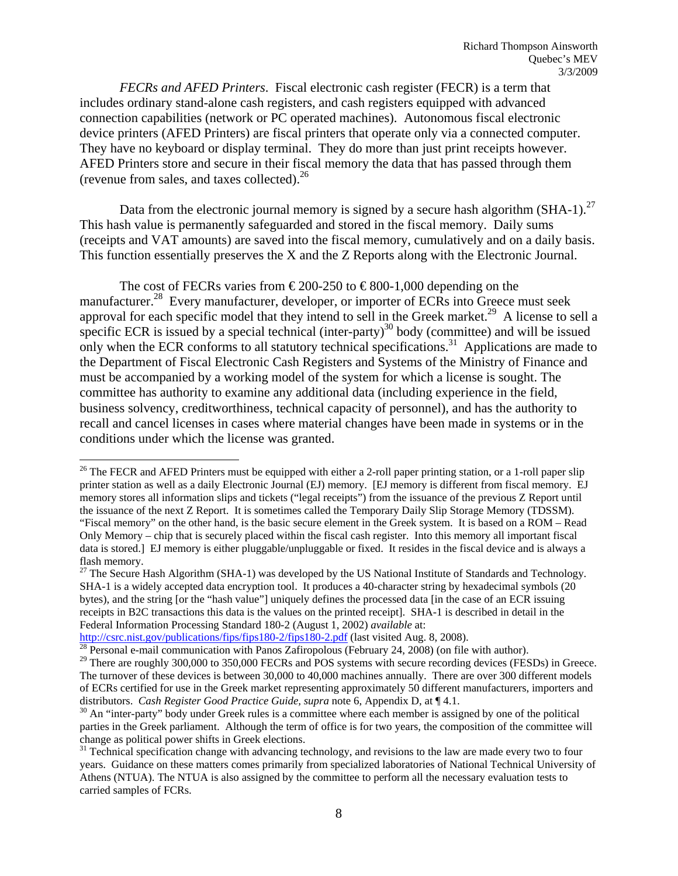*FECRs and AFED Printers*. Fiscal electronic cash register (FECR) is a term that includes ordinary stand-alone cash registers, and cash registers equipped with advanced connection capabilities (network or PC operated machines). Autonomous fiscal electronic device printers (AFED Printers) are fiscal printers that operate only via a connected computer. They have no keyboard or display terminal. They do more than just print receipts however. AFED Printers store and secure in their fiscal memory the data that has passed through them (revenue from sales, and taxes collected).26

Data from the electronic journal memory is signed by a secure hash algorithm  $(SHA-1)$ .<sup>27</sup> This hash value is permanently safeguarded and stored in the fiscal memory. Daily sums (receipts and VAT amounts) are saved into the fiscal memory, cumulatively and on a daily basis. This function essentially preserves the X and the Z Reports along with the Electronic Journal.

The cost of FECRs varies from  $\epsilon$ 200-250 to  $\epsilon$ 800-1,000 depending on the manufacturer.<sup>28</sup> Every manufacturer, developer, or importer of ECRs into Greece must seek approval for each specific model that they intend to sell in the Greek market.<sup>29</sup> A license to sell a specific ECR is issued by a special technical (inter-party)<sup>30</sup> body (committee) and will be issued only when the ECR conforms to all statutory technical specifications.<sup>31</sup> Applications are made to the Department of Fiscal Electronic Cash Registers and Systems of the Ministry of Finance and must be accompanied by a working model of the system for which a license is sought. The committee has authority to examine any additional data (including experience in the field, business solvency, creditworthiness, technical capacity of personnel), and has the authority to recall and cancel licenses in cases where material changes have been made in systems or in the conditions under which the license was granted.

 $26$  The FECR and AFED Printers must be equipped with either a 2-roll paper printing station, or a 1-roll paper slip printer station as well as a daily Electronic Journal (EJ) memory. [EJ memory is different from fiscal memory. EJ memory stores all information slips and tickets ("legal receipts") from the issuance of the previous Z Report until the issuance of the next Z Report. It is sometimes called the Temporary Daily Slip Storage Memory (TDSSM). "Fiscal memory" on the other hand, is the basic secure element in the Greek system. It is based on a ROM – Read Only Memory – chip that is securely placed within the fiscal cash register. Into this memory all important fiscal data is stored.] EJ memory is either pluggable/unpluggable or fixed. It resides in the fiscal device and is always a flash memory.

<sup>&</sup>lt;sup>27</sup> The Secure Hash Algorithm (SHA-1) was developed by the US National Institute of Standards and Technology. SHA-1 is a widely accepted data encryption tool. It produces a 40-character string by hexadecimal symbols (20 bytes), and the string [or the "hash value"] uniquely defines the processed data [in the case of an ECR issuing receipts in B2C transactions this data is the values on the printed receipt]. SHA-1 is described in detail in the Federal Information Processing Standard 180-2 (August 1, 2002) *available* at:

http://csrc.nist.gov/publications/fips/fips180-2/fips180-2.pdf (last visited Aug. 8, 2008).<br><sup>28</sup> Personal e-mail communication with Panos Zafiropolous (February 24, 2008) (on file with author).

<sup>&</sup>lt;sup>29</sup> There are roughly 300,000 to 350,000 FECRs and POS systems with secure recording devices (FESDs) in Greece. The turnover of these devices is between 30,000 to 40,000 machines annually. There are over 300 different models of ECRs certified for use in the Greek market representing approximately 50 different manufacturers, importers and distributors. *Cash Register Good Practice Guide, supra* note 6, Appendix D, at ¶ 4.1.<br><sup>30</sup> An "inter-party" body under Greek rules is a committee where each member is assigned by one of the political

parties in the Greek parliament. Although the term of office is for two years, the composition of the committee will change as political power shifts in Greek elections.

<sup>&</sup>lt;sup>31</sup> Technical specification change with advancing technology, and revisions to the law are made every two to four years. Guidance on these matters comes primarily from specialized laboratories of National Technical University of Athens (NTUA). The NTUA is also assigned by the committee to perform all the necessary evaluation tests to carried samples of FCRs.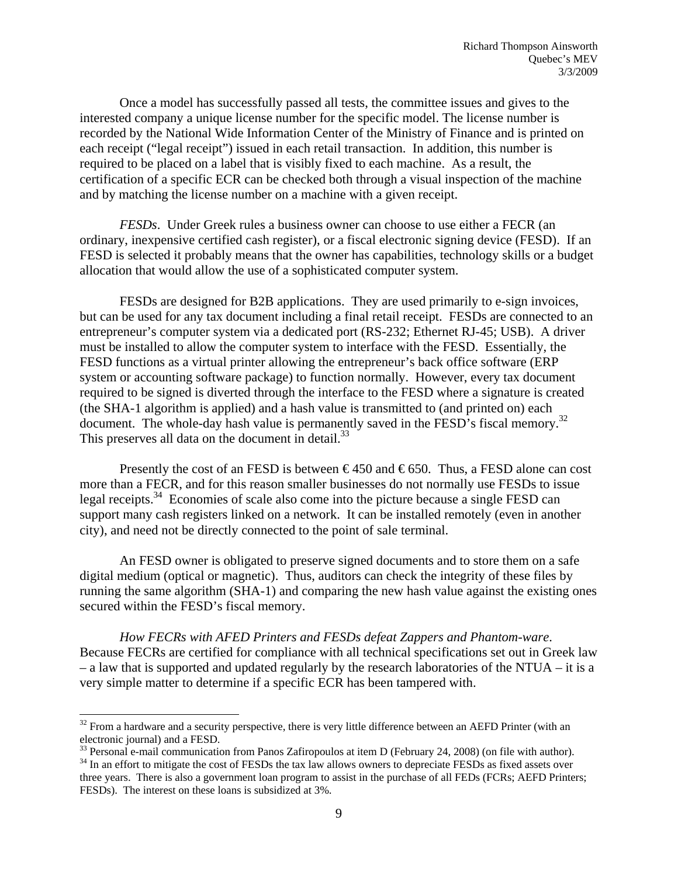Once a model has successfully passed all tests, the committee issues and gives to the interested company a unique license number for the specific model. The license number is recorded by the National Wide Information Center of the Ministry of Finance and is printed on each receipt ("legal receipt") issued in each retail transaction. In addition, this number is required to be placed on a label that is visibly fixed to each machine. As a result, the certification of a specific ECR can be checked both through a visual inspection of the machine and by matching the license number on a machine with a given receipt.

*FESDs*. Under Greek rules a business owner can choose to use either a FECR (an ordinary, inexpensive certified cash register), or a fiscal electronic signing device (FESD). If an FESD is selected it probably means that the owner has capabilities, technology skills or a budget allocation that would allow the use of a sophisticated computer system.

FESDs are designed for B2B applications. They are used primarily to e-sign invoices, but can be used for any tax document including a final retail receipt. FESDs are connected to an entrepreneur's computer system via a dedicated port (RS-232; Ethernet RJ-45; USB). A driver must be installed to allow the computer system to interface with the FESD. Essentially, the FESD functions as a virtual printer allowing the entrepreneur's back office software (ERP system or accounting software package) to function normally. However, every tax document required to be signed is diverted through the interface to the FESD where a signature is created (the SHA-1 algorithm is applied) and a hash value is transmitted to (and printed on) each document. The whole-day hash value is permanently saved in the FESD's fiscal memory.<sup>32</sup> This preserves all data on the document in detail.<sup>33</sup>

Presently the cost of an FESD is between  $\epsilon$ 450 and  $\epsilon$ 650. Thus, a FESD alone can cost more than a FECR, and for this reason smaller businesses do not normally use FESDs to issue legal receipts.34 Economies of scale also come into the picture because a single FESD can support many cash registers linked on a network. It can be installed remotely (even in another city), and need not be directly connected to the point of sale terminal.

An FESD owner is obligated to preserve signed documents and to store them on a safe digital medium (optical or magnetic). Thus, auditors can check the integrity of these files by running the same algorithm (SHA-1) and comparing the new hash value against the existing ones secured within the FESD's fiscal memory.

*How FECRs with AFED Printers and FESDs defeat Zappers and Phantom-ware*. Because FECRs are certified for compliance with all technical specifications set out in Greek law  $-$  a law that is supported and updated regularly by the research laboratories of the NTUA  $-$  it is a very simple matter to determine if a specific ECR has been tampered with.

 $32$  From a hardware and a security perspective, there is very little difference between an AEFD Printer (with an electronic journal) and a FESD.

<sup>&</sup>lt;sup>33</sup> Personal e-mail communication from Panos Zafiropoulos at item D (February 24, 2008) (on file with author).

<sup>&</sup>lt;sup>34</sup> In an effort to mitigate the cost of FESDs the tax law allows owners to depreciate FESDs as fixed assets over three years. There is also a government loan program to assist in the purchase of all FEDs (FCRs; AEFD Printers; FESDs). The interest on these loans is subsidized at 3%.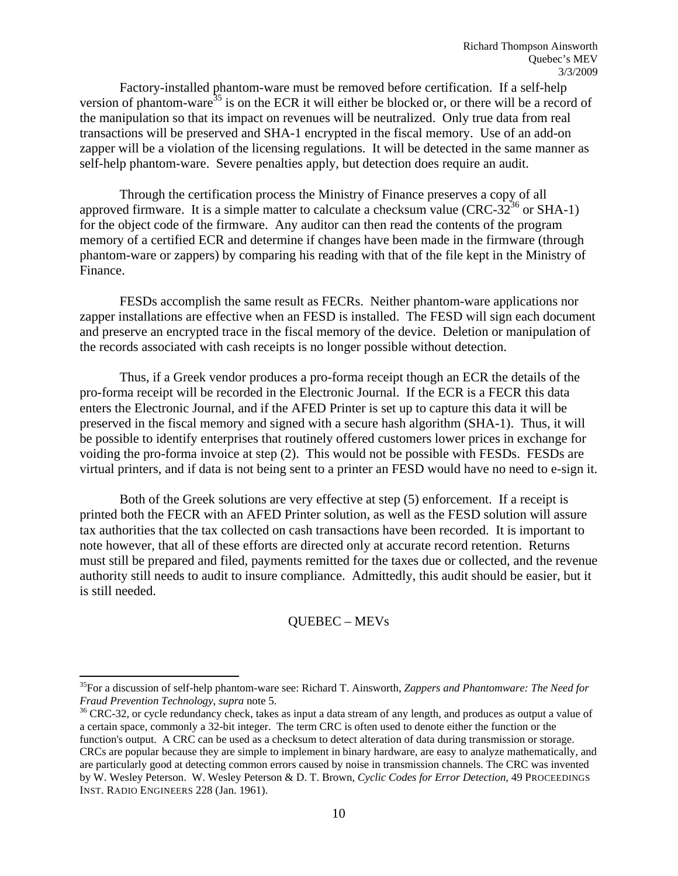Factory-installed phantom-ware must be removed before certification. If a self-help version of phantom-ware<sup>35</sup> is on the ECR it will either be blocked or, or there will be a record of the manipulation so that its impact on revenues will be neutralized. Only true data from real transactions will be preserved and SHA-1 encrypted in the fiscal memory. Use of an add-on zapper will be a violation of the licensing regulations. It will be detected in the same manner as self-help phantom-ware. Severe penalties apply, but detection does require an audit.

Through the certification process the Ministry of Finance preserves a copy of all approved firmware. It is a simple matter to calculate a checksum value  $(CRC-32^{36})$  or SHA-1) for the object code of the firmware. Any auditor can then read the contents of the program memory of a certified ECR and determine if changes have been made in the firmware (through phantom-ware or zappers) by comparing his reading with that of the file kept in the Ministry of Finance.

FESDs accomplish the same result as FECRs. Neither phantom-ware applications nor zapper installations are effective when an FESD is installed. The FESD will sign each document and preserve an encrypted trace in the fiscal memory of the device. Deletion or manipulation of the records associated with cash receipts is no longer possible without detection.

Thus, if a Greek vendor produces a pro-forma receipt though an ECR the details of the pro-forma receipt will be recorded in the Electronic Journal. If the ECR is a FECR this data enters the Electronic Journal, and if the AFED Printer is set up to capture this data it will be preserved in the fiscal memory and signed with a secure hash algorithm (SHA-1). Thus, it will be possible to identify enterprises that routinely offered customers lower prices in exchange for voiding the pro-forma invoice at step (2). This would not be possible with FESDs. FESDs are virtual printers, and if data is not being sent to a printer an FESD would have no need to e-sign it.

Both of the Greek solutions are very effective at step (5) enforcement. If a receipt is printed both the FECR with an AFED Printer solution, as well as the FESD solution will assure tax authorities that the tax collected on cash transactions have been recorded. It is important to note however, that all of these efforts are directed only at accurate record retention. Returns must still be prepared and filed, payments remitted for the taxes due or collected, and the revenue authority still needs to audit to insure compliance. Admittedly, this audit should be easier, but it is still needed.

#### QUEBEC – MEVs

l

a certain space, commonly a 32-bit integer. The term CRC is often used to denote either the function or the function's output. A CRC can be used as a checksum to detect alteration of data during transmission or storage. CRCs are popular because they are simple to implement in binary hardware, are easy to analyze mathematically, and are particularly good at detecting common errors caused by noise in transmission channels. The CRC was invented by W. Wesley Peterson. W. Wesley Peterson & D. T. Brown, *Cyclic Codes for Error Detection,* 49 PROCEEDINGS INST. RADIO ENGINEERS 228 (Jan. 1961).

<sup>35</sup>For a discussion of self-help phantom-ware see: Richard T. Ainsworth, *Zappers and Phantomware: The Need for Fraud Prevention Technology, supra* note 5.<br><sup>36</sup> CRC-32, or cycle redundancy check, takes as input a data stream of any length, and produces as output a value of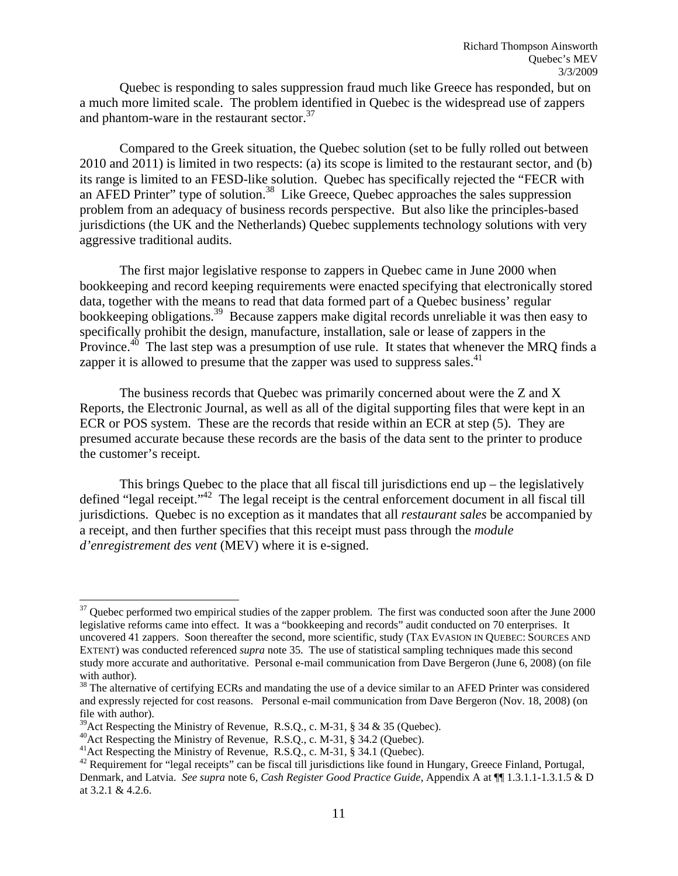Quebec is responding to sales suppression fraud much like Greece has responded, but on a much more limited scale. The problem identified in Quebec is the widespread use of zappers and phantom-ware in the restaurant sector.<sup>37</sup>

Compared to the Greek situation, the Quebec solution (set to be fully rolled out between 2010 and 2011) is limited in two respects: (a) its scope is limited to the restaurant sector, and (b) its range is limited to an FESD-like solution. Quebec has specifically rejected the "FECR with an AFED Printer" type of solution.<sup>38</sup> Like Greece, Quebec approaches the sales suppression problem from an adequacy of business records perspective. But also like the principles-based jurisdictions (the UK and the Netherlands) Quebec supplements technology solutions with very aggressive traditional audits.

The first major legislative response to zappers in Quebec came in June 2000 when bookkeeping and record keeping requirements were enacted specifying that electronically stored data, together with the means to read that data formed part of a Quebec business' regular bookkeeping obligations.<sup>39</sup> Because zappers make digital records unreliable it was then easy to specifically prohibit the design, manufacture, installation, sale or lease of zappers in the Province.<sup>40</sup> The last step was a presumption of use rule. It states that whenever the MRQ finds a zapper it is allowed to presume that the zapper was used to suppress sales.<sup>41</sup>

The business records that Quebec was primarily concerned about were the Z and X Reports, the Electronic Journal, as well as all of the digital supporting files that were kept in an ECR or POS system. These are the records that reside within an ECR at step (5). They are presumed accurate because these records are the basis of the data sent to the printer to produce the customer's receipt.

This brings Quebec to the place that all fiscal till jurisdictions end up – the legislatively defined "legal receipt."<sup>42</sup> The legal receipt is the central enforcement document in all fiscal till jurisdictions. Quebec is no exception as it mandates that all *restaurant sales* be accompanied by a receipt, and then further specifies that this receipt must pass through the *module d'enregistrement des vent* (MEV) where it is e-signed.

 $37$  Quebec performed two empirical studies of the zapper problem. The first was conducted soon after the June 2000 legislative reforms came into effect. It was a "bookkeeping and records" audit conducted on 70 enterprises. It uncovered 41 zappers. Soon thereafter the second, more scientific, study (TAX EVASION IN QUEBEC: SOURCES AND EXTENT) was conducted referenced *supra* note 35. The use of statistical sampling techniques made this second study more accurate and authoritative. Personal e-mail communication from Dave Bergeron (June 6, 2008) (on file with author).

<sup>&</sup>lt;sup>38</sup> The alternative of certifying ECRs and mandating the use of a device similar to an AFED Printer was considered and expressly rejected for cost reasons. Personal e-mail communication from Dave Bergeron (Nov. 18, 2008) (on file with author).

<sup>&</sup>lt;sup>39</sup>Act Respecting the Ministry of Revenue, R.S.Q., c. M-31, § 34 & 35 (Quebec).<br><sup>40</sup>Act Respecting the Ministry of Revenue, R.S.Q., c. M-31, § 34.2 (Quebec).

<sup>&</sup>lt;sup>41</sup> Act Respecting the Ministry of Revenue, R.S.Q., c. M-31, § 34.1 (Quebec).<br><sup>42</sup> Requirement for "legal receipts" can be fiscal till jurisdictions like found in Hungary, Greece Finland, Portugal, Denmark, and Latvia. *See supra* note 6, *Cash Register Good Practice Guide*, Appendix A at ¶¶ 1.3.1.1-1.3.1.5 & D at 3.2.1 & 4.2.6.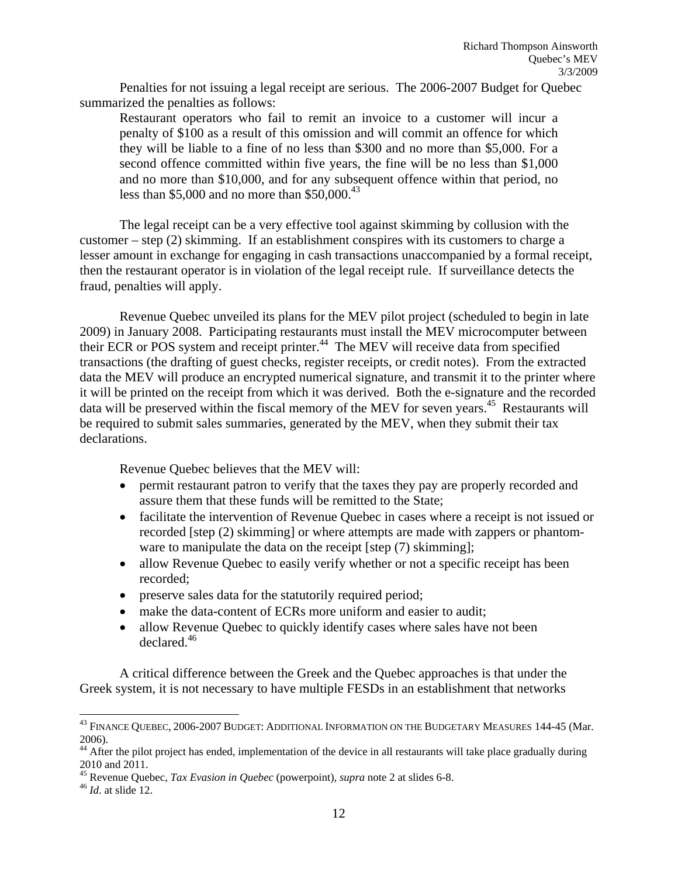Penalties for not issuing a legal receipt are serious. The 2006-2007 Budget for Quebec summarized the penalties as follows:

Restaurant operators who fail to remit an invoice to a customer will incur a penalty of \$100 as a result of this omission and will commit an offence for which they will be liable to a fine of no less than \$300 and no more than \$5,000. For a second offence committed within five years, the fine will be no less than \$1,000 and no more than \$10,000, and for any subsequent offence within that period, no less than \$5,000 and no more than  $$50,000$ .<sup>43</sup>

The legal receipt can be a very effective tool against skimming by collusion with the customer – step (2) skimming. If an establishment conspires with its customers to charge a lesser amount in exchange for engaging in cash transactions unaccompanied by a formal receipt, then the restaurant operator is in violation of the legal receipt rule. If surveillance detects the fraud, penalties will apply.

Revenue Quebec unveiled its plans for the MEV pilot project (scheduled to begin in late 2009) in January 2008. Participating restaurants must install the MEV microcomputer between their ECR or POS system and receipt printer.<sup>44</sup> The MEV will receive data from specified transactions (the drafting of guest checks, register receipts, or credit notes). From the extracted data the MEV will produce an encrypted numerical signature, and transmit it to the printer where it will be printed on the receipt from which it was derived. Both the e-signature and the recorded data will be preserved within the fiscal memory of the MEV for seven years.<sup>45</sup> Restaurants will be required to submit sales summaries, generated by the MEV, when they submit their tax declarations.

Revenue Quebec believes that the MEV will:

- permit restaurant patron to verify that the taxes they pay are properly recorded and assure them that these funds will be remitted to the State;
- facilitate the intervention of Revenue Quebec in cases where a receipt is not issued or recorded [step (2) skimming] or where attempts are made with zappers or phantomware to manipulate the data on the receipt [step  $(7)$  skimming];
- allow Revenue Quebec to easily verify whether or not a specific receipt has been recorded;
- preserve sales data for the statutorily required period;
- make the data-content of ECRs more uniform and easier to audit;
- allow Revenue Quebec to quickly identify cases where sales have not been declared.46

A critical difference between the Greek and the Quebec approaches is that under the Greek system, it is not necessary to have multiple FESDs in an establishment that networks

l  $^{43}$  Finance Quebec, 2006-2007 Budget: Additional Information on the Budgetary Measures 144-45 (Mar. 2006).

<sup>44</sup> After the pilot project has ended, implementation of the device in all restaurants will take place gradually during 2010 and 2011.

<sup>45</sup> Revenue Quebec, *Tax Evasion in Quebec* (powerpoint)*, supra* note 2 at slides 6-8. 46 *Id*. at slide 12.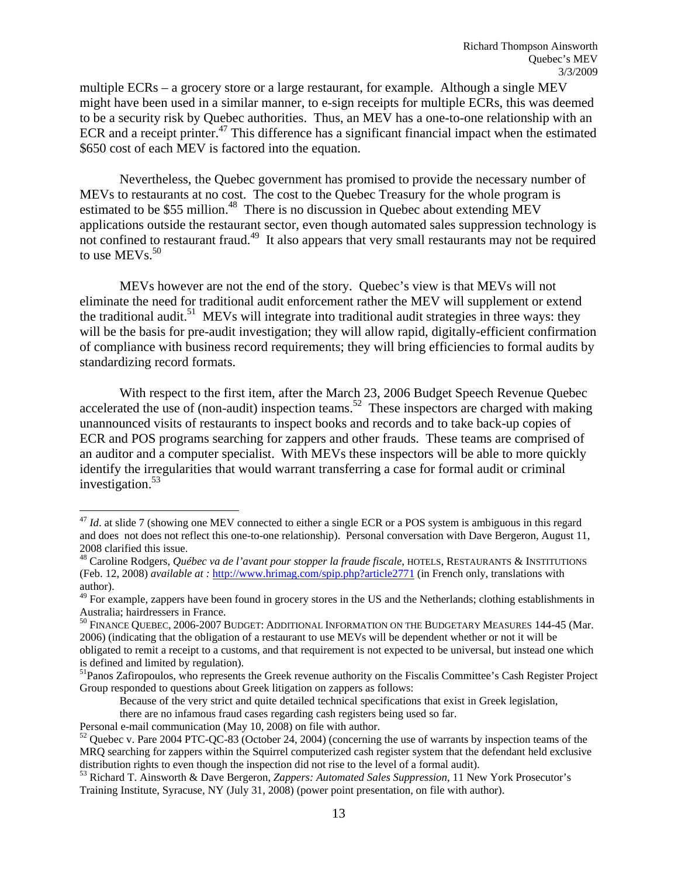multiple ECRs – a grocery store or a large restaurant, for example. Although a single MEV might have been used in a similar manner, to e-sign receipts for multiple ECRs, this was deemed to be a security risk by Quebec authorities. Thus, an MEV has a one-to-one relationship with an ECR and a receipt printer.<sup>47</sup> This difference has a significant financial impact when the estimated \$650 cost of each MEV is factored into the equation.

Nevertheless, the Quebec government has promised to provide the necessary number of MEVs to restaurants at no cost. The cost to the Quebec Treasury for the whole program is estimated to be \$55 million.<sup>48</sup> There is no discussion in Quebec about extending MEV applications outside the restaurant sector, even though automated sales suppression technology is not confined to restaurant fraud.<sup>49</sup> It also appears that very small restaurants may not be required to use  $MEVs$ .<sup>50</sup>

MEVs however are not the end of the story. Quebec's view is that MEVs will not eliminate the need for traditional audit enforcement rather the MEV will supplement or extend the traditional audit.<sup>51</sup> MEVs will integrate into traditional audit strategies in three ways: they will be the basis for pre-audit investigation; they will allow rapid, digitally-efficient confirmation of compliance with business record requirements; they will bring efficiencies to formal audits by standardizing record formats.

With respect to the first item, after the March 23, 2006 Budget Speech Revenue Quebec accelerated the use of (non-audit) inspection teams.<sup>52</sup> These inspectors are charged with making unannounced visits of restaurants to inspect books and records and to take back-up copies of ECR and POS programs searching for zappers and other frauds. These teams are comprised of an auditor and a computer specialist. With MEVs these inspectors will be able to more quickly identify the irregularities that would warrant transferring a case for formal audit or criminal investigation. $53$ 

there are no infamous fraud cases regarding cash registers being used so far.

<sup>&</sup>lt;sup>47</sup> *Id.* at slide 7 (showing one MEV connected to either a single ECR or a POS system is ambiguous in this regard and does not does not reflect this one-to-one relationship). Personal conversation with Dave Bergeron, August 11, 2008 clarified this issue.

<sup>48</sup> Caroline Rodgers, *Québec va de l'avant pour stopper la fraude fiscale*, HOTELS, RESTAURANTS & INSTITUTIONS (Feb. 12, 2008) *available at :* http://www.hrimag.com/spip.php?article2771 (in French only, translations with author).

 $49$  For example, zappers have been found in grocery stores in the US and the Netherlands; clothing establishments in Australia; hairdressers in France.

<sup>50</sup> FINANCE QUEBEC, 2006-2007 BUDGET: ADDITIONAL INFORMATION ON THE BUDGETARY MEASURES 144-45 (Mar. 2006) (indicating that the obligation of a restaurant to use MEVs will be dependent whether or not it will be obligated to remit a receipt to a customs, and that requirement is not expected to be universal, but instead one which is defined and limited by regulation).

<sup>&</sup>lt;sup>51</sup>Panos Zafiropoulos, who represents the Greek revenue authority on the Fiscalis Committee's Cash Register Project Group responded to questions about Greek litigation on zappers as follows:

Because of the very strict and quite detailed technical specifications that exist in Greek legislation,

Personal e-mail communication (May 10, 2008) on file with author.

<sup>52</sup> Quebec v. Pare 2004 PTC-QC-83 (October 24, 2004) (concerning the use of warrants by inspection teams of the MRQ searching for zappers within the Squirrel computerized cash register system that the defendant held exclusive distribution rights to even though the inspection did not rise to the level of a formal audit).

<sup>53</sup> Richard T. Ainsworth & Dave Bergeron, *Zappers: Automated Sales Suppression*, 11 New York Prosecutor's Training Institute, Syracuse, NY (July 31, 2008) (power point presentation, on file with author).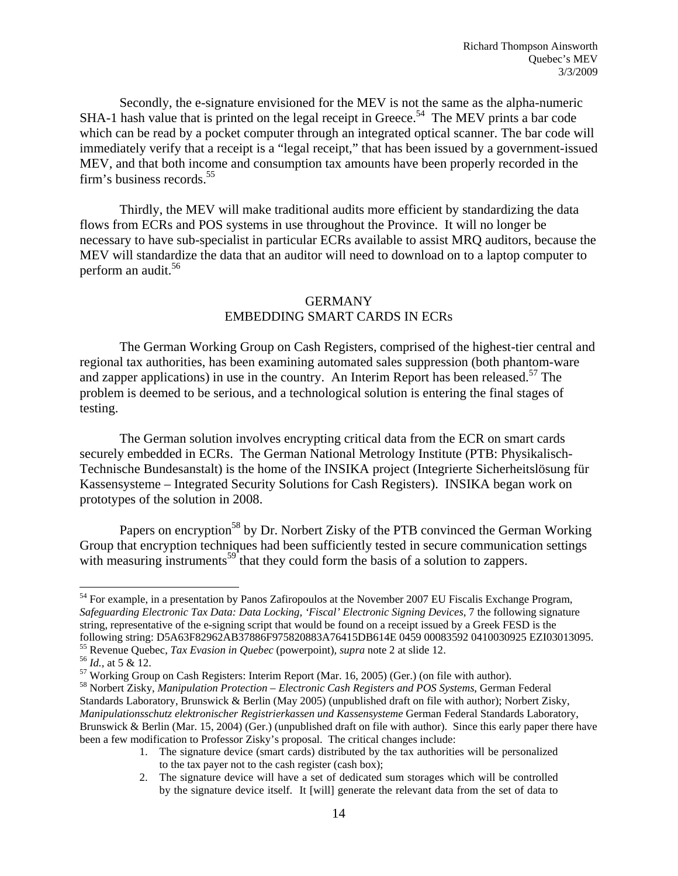Secondly, the e-signature envisioned for the MEV is not the same as the alpha-numeric SHA-1 hash value that is printed on the legal receipt in Greece.<sup>54</sup> The MEV prints a bar code which can be read by a pocket computer through an integrated optical scanner. The bar code will immediately verify that a receipt is a "legal receipt," that has been issued by a government-issued MEV, and that both income and consumption tax amounts have been properly recorded in the firm's business records.<sup>55</sup>

Thirdly, the MEV will make traditional audits more efficient by standardizing the data flows from ECRs and POS systems in use throughout the Province. It will no longer be necessary to have sub-specialist in particular ECRs available to assist MRQ auditors, because the MEV will standardize the data that an auditor will need to download on to a laptop computer to perform an audit.<sup>56</sup>

#### GERMANY

#### EMBEDDING SMART CARDS IN ECRs

The German Working Group on Cash Registers, comprised of the highest-tier central and regional tax authorities, has been examining automated sales suppression (both phantom-ware and zapper applications) in use in the country. An Interim Report has been released.<sup>57</sup> The problem is deemed to be serious, and a technological solution is entering the final stages of testing.

The German solution involves encrypting critical data from the ECR on smart cards securely embedded in ECRs. The German National Metrology Institute (PTB: Physikalisch-Technische Bundesanstalt) is the home of the INSIKA project (Integrierte Sicherheitslösung für Kassensysteme – Integrated Security Solutions for Cash Registers). INSIKA began work on prototypes of the solution in 2008.

Papers on encryption<sup>58</sup> by Dr. Norbert Zisky of the PTB convinced the German Working Group that encryption techniques had been sufficiently tested in secure communication settings with measuring instruments<sup>59</sup> that they could form the basis of a solution to zappers.

l <sup>54</sup> For example, in a presentation by Panos Zafiropoulos at the November 2007 EU Fiscalis Exchange Program, *Safeguarding Electronic Tax Data: Data Locking, 'Fiscal' Electronic Signing Devices*, 7 the following signature string, representative of the e-signing script that would be found on a receipt issued by a Greek FESD is the following string: D5A63F82962AB37886F975820883A76415DB614E 0459 00083592 0410030925 EZI03013095.<br><sup>55</sup> Revenue Quebec, *Tax Evasion in Quebec* (powerpoint), *supra* note 2 at slide 12.

<sup>&</sup>lt;sup>56</sup> *Id.*, at 5 & 12.<br><sup>57</sup> Working Group on Cash Registers: Interim Report (Mar. 16, 2005) (Ger.) (on file with author).<br><sup>58</sup> Norbert Zisky, *Manipulation Protection – Electronic Cash Registers and POS Systems, German Fe* Standards Laboratory, Brunswick & Berlin (May 2005) (unpublished draft on file with author); Norbert Zisky, *Manipulationsschutz elektronischer Registrierkassen und Kassensysteme* German Federal Standards Laboratory, Brunswick & Berlin (Mar. 15, 2004) (Ger.) (unpublished draft on file with author). Since this early paper there have been a few modification to Professor Zisky's proposal. The critical changes include:

<sup>1.</sup> The signature device (smart cards) distributed by the tax authorities will be personalized to the tax payer not to the cash register (cash box);

<sup>2.</sup> The signature device will have a set of dedicated sum storages which will be controlled by the signature device itself. It [will] generate the relevant data from the set of data to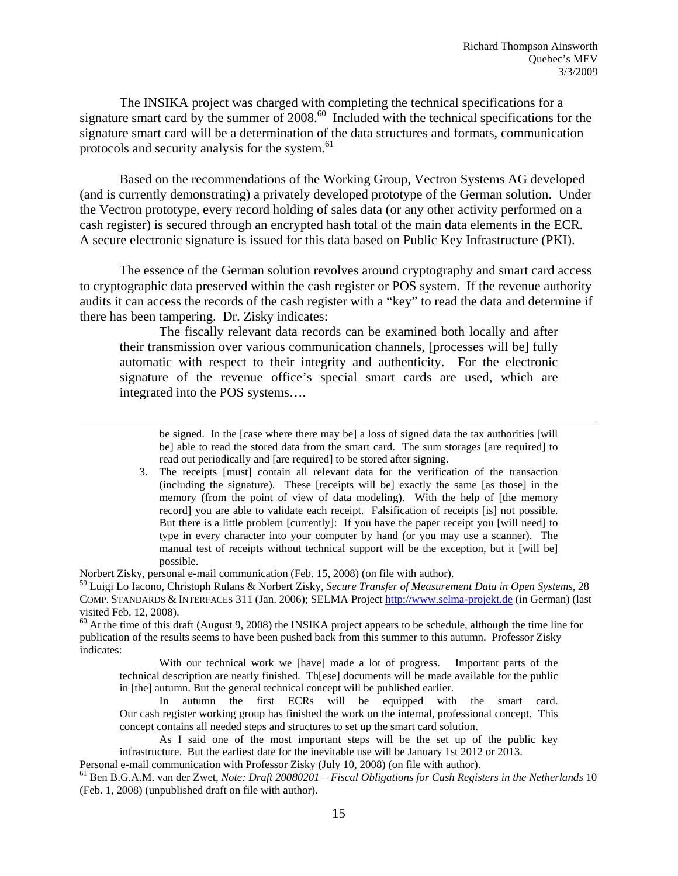The INSIKA project was charged with completing the technical specifications for a signature smart card by the summer of 2008.<sup>60</sup> Included with the technical specifications for the signature smart card will be a determination of the data structures and formats, communication protocols and security analysis for the system.<sup>61</sup>

Based on the recommendations of the Working Group, Vectron Systems AG developed (and is currently demonstrating) a privately developed prototype of the German solution. Under the Vectron prototype, every record holding of sales data (or any other activity performed on a cash register) is secured through an encrypted hash total of the main data elements in the ECR. A secure electronic signature is issued for this data based on Public Key Infrastructure (PKI).

The essence of the German solution revolves around cryptography and smart card access to cryptographic data preserved within the cash register or POS system. If the revenue authority audits it can access the records of the cash register with a "key" to read the data and determine if there has been tampering. Dr. Zisky indicates:

The fiscally relevant data records can be examined both locally and after their transmission over various communication channels, [processes will be] fully automatic with respect to their integrity and authenticity. For the electronic signature of the revenue office's special smart cards are used, which are integrated into the POS systems….

be signed. In the [case where there may be] a loss of signed data the tax authorities [will bel able to read the stored data from the smart card. The sum storages [are required] to read out periodically and [are required] to be stored after signing.

3. The receipts [must] contain all relevant data for the verification of the transaction (including the signature). These [receipts will be] exactly the same [as those] in the memory (from the point of view of data modeling). With the help of [the memory record] you are able to validate each receipt. Falsification of receipts [is] not possible. But there is a little problem [currently]: If you have the paper receipt you [will need] to type in every character into your computer by hand (or you may use a scanner). The manual test of receipts without technical support will be the exception, but it [will be] possible.

Norbert Zisky, personal e-mail communication (Feb. 15, 2008) (on file with author).

l

59 Luigi Lo Iacono, Christoph Rulans & Norbert Zisky, *Secure Transfer of Measurement Data in Open Systems*, 28 COMP. STANDARDS & INTERFACES 311 (Jan. 2006); SELMA Project http://www.selma-projekt.de (in German) (last visited Feb. 12, 2008).

<sup>60</sup> At the time of this draft (August 9, 2008) the INSIKA project appears to be schedule, although the time line for publication of the results seems to have been pushed back from this summer to this autumn. Professor Zisky indicates:

With our technical work we [have] made a lot of progress. Important parts of the technical description are nearly finished. Th[ese] documents will be made available for the public in [the] autumn. But the general technical concept will be published earlier.

In autumn the first ECRs will be equipped with the smart card. Our cash register working group has finished the work on the internal, professional concept. This concept contains all needed steps and structures to set up the smart card solution.

As I said one of the most important steps will be the set up of the public key infrastructure. But the earliest date for the inevitable use will be January 1st 2012 or 2013.

Personal e-mail communication with Professor Zisky (July 10, 2008) (on file with author).

<sup>61</sup> Ben B.G.A.M. van der Zwet, *Note: Draft 20080201 – Fiscal Obligations for Cash Registers in the Netherlands* 10 (Feb. 1, 2008) (unpublished draft on file with author).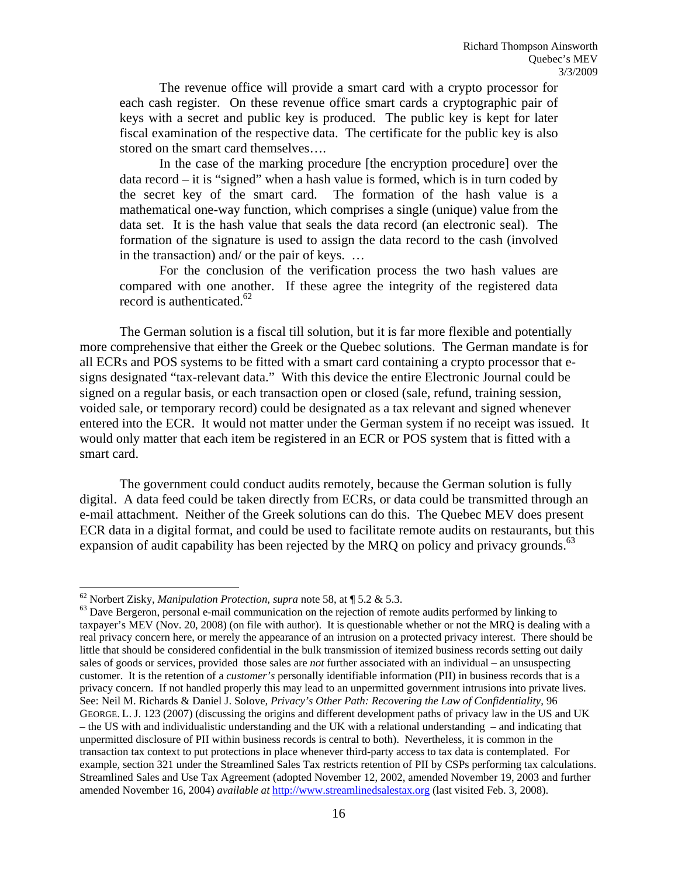The revenue office will provide a smart card with a crypto processor for each cash register. On these revenue office smart cards a cryptographic pair of keys with a secret and public key is produced. The public key is kept for later fiscal examination of the respective data. The certificate for the public key is also stored on the smart card themselves….

In the case of the marking procedure [the encryption procedure] over the data record – it is "signed" when a hash value is formed, which is in turn coded by the secret key of the smart card. The formation of the hash value is a mathematical one-way function, which comprises a single (unique) value from the data set. It is the hash value that seals the data record (an electronic seal). The formation of the signature is used to assign the data record to the cash (involved in the transaction) and/ or the pair of keys. …

For the conclusion of the verification process the two hash values are compared with one another. If these agree the integrity of the registered data record is authenticated.<sup>62</sup>

The German solution is a fiscal till solution, but it is far more flexible and potentially more comprehensive that either the Greek or the Quebec solutions. The German mandate is for all ECRs and POS systems to be fitted with a smart card containing a crypto processor that esigns designated "tax-relevant data." With this device the entire Electronic Journal could be signed on a regular basis, or each transaction open or closed (sale, refund, training session, voided sale, or temporary record) could be designated as a tax relevant and signed whenever entered into the ECR. It would not matter under the German system if no receipt was issued. It would only matter that each item be registered in an ECR or POS system that is fitted with a smart card.

The government could conduct audits remotely, because the German solution is fully digital. A data feed could be taken directly from ECRs, or data could be transmitted through an e-mail attachment. Neither of the Greek solutions can do this. The Quebec MEV does present ECR data in a digital format, and could be used to facilitate remote audits on restaurants, but this expansion of audit capability has been rejected by the MRQ on policy and privacy grounds.<sup>63</sup>

<sup>&</sup>lt;sup>62</sup> Norbert Zisky, *Manipulation Protection, supra* note 58, at  $\P$  5.2 & 5.3.<br><sup>63</sup> Dave Bergeron, personal e-mail communication on the rejection of remote audits performed by linking to taxpayer's MEV (Nov. 20, 2008) (on file with author). It is questionable whether or not the MRQ is dealing with a real privacy concern here, or merely the appearance of an intrusion on a protected privacy interest. There should be little that should be considered confidential in the bulk transmission of itemized business records setting out daily sales of goods or services, provided those sales are *not* further associated with an individual – an unsuspecting customer. It is the retention of a *customer's* personally identifiable information (PII) in business records that is a privacy concern. If not handled properly this may lead to an unpermitted government intrusions into private lives. See: Neil M. Richards & Daniel J. Solove, *Privacy's Other Path: Recovering the Law of Confidentiality*, 96 GEORGE. L. J. 123 (2007) (discussing the origins and different development paths of privacy law in the US and UK – the US with and individualistic understanding and the UK with a relational understanding – and indicating that unpermitted disclosure of PII within business records is central to both). Nevertheless, it is common in the transaction tax context to put protections in place whenever third-party access to tax data is contemplated. For example, section 321 under the Streamlined Sales Tax restricts retention of PII by CSPs performing tax calculations. Streamlined Sales and Use Tax Agreement (adopted November 12, 2002, amended November 19, 2003 and further amended November 16, 2004) *available at* http://www.streamlinedsalestax.org (last visited Feb. 3, 2008).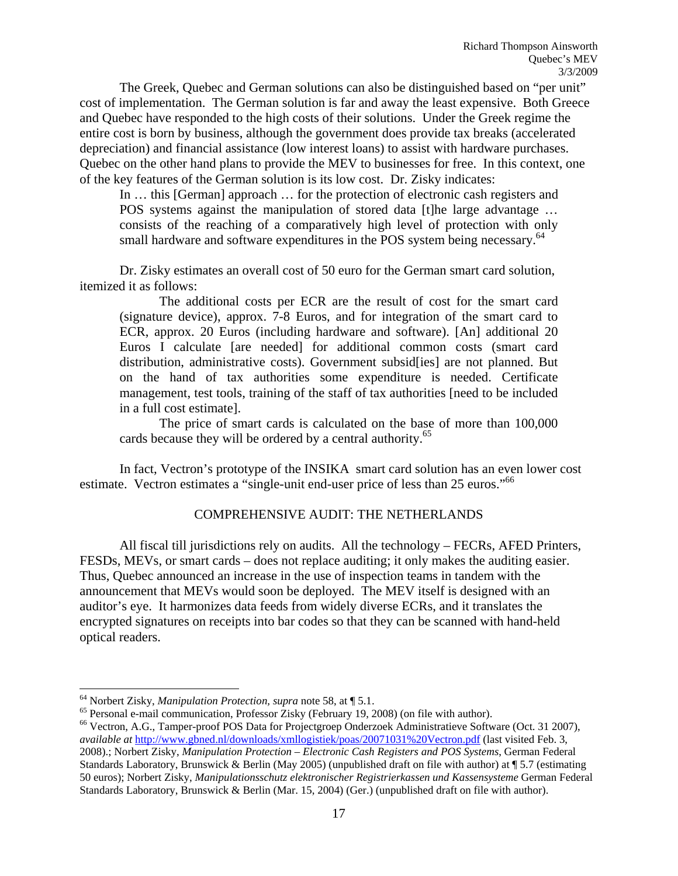The Greek, Quebec and German solutions can also be distinguished based on "per unit" cost of implementation. The German solution is far and away the least expensive. Both Greece and Quebec have responded to the high costs of their solutions. Under the Greek regime the entire cost is born by business, although the government does provide tax breaks (accelerated depreciation) and financial assistance (low interest loans) to assist with hardware purchases. Quebec on the other hand plans to provide the MEV to businesses for free. In this context, one of the key features of the German solution is its low cost. Dr. Zisky indicates:

In … this [German] approach … for the protection of electronic cash registers and POS systems against the manipulation of stored data [t]he large advantage … consists of the reaching of a comparatively high level of protection with only small hardware and software expenditures in the POS system being necessary.<sup>64</sup>

Dr. Zisky estimates an overall cost of 50 euro for the German smart card solution, itemized it as follows:

The additional costs per ECR are the result of cost for the smart card (signature device), approx. 7-8 Euros, and for integration of the smart card to ECR, approx. 20 Euros (including hardware and software). [An] additional 20 Euros I calculate [are needed] for additional common costs (smart card distribution, administrative costs). Government subsid[ies] are not planned. But on the hand of tax authorities some expenditure is needed. Certificate management, test tools, training of the staff of tax authorities [need to be included in a full cost estimate].

The price of smart cards is calculated on the base of more than 100,000 cards because they will be ordered by a central authority.<sup>65</sup>

In fact, Vectron's prototype of the INSIKA smart card solution has an even lower cost estimate. Vectron estimates a "single-unit end-user price of less than 25 euros."<sup>66</sup>

#### COMPREHENSIVE AUDIT: THE NETHERLANDS

All fiscal till jurisdictions rely on audits. All the technology – FECRs, AFED Printers, FESDs, MEVs, or smart cards – does not replace auditing; it only makes the auditing easier. Thus, Quebec announced an increase in the use of inspection teams in tandem with the announcement that MEVs would soon be deployed. The MEV itself is designed with an auditor's eye. It harmonizes data feeds from widely diverse ECRs, and it translates the encrypted signatures on receipts into bar codes so that they can be scanned with hand-held optical readers.

 $64$  Norbert Zisky, *Manipulation Protection*, *supra* note 58, at  $\P$  5.1.

<sup>&</sup>lt;sup>65</sup> Personal e-mail communication, Professor Zisky (February 19, 2008) (on file with author).

<sup>66</sup> Vectron, A.G., Tamper-proof POS Data for Projectgroep Onderzoek Administratieve Software (Oct. 31 2007), *available at* http://www.gbned.nl/downloads/xmllogistiek/poas/20071031%20Vectron.pdf (last visited Feb. 3, 2008).; Norbert Zisky, *Manipulation Protection – Electronic Cash Registers and POS Systems*, German Federal Standards Laboratory, Brunswick & Berlin (May 2005) (unpublished draft on file with author) at ¶ 5.7 (estimating 50 euros); Norbert Zisky, *Manipulationsschutz elektronischer Registrierkassen und Kassensysteme* German Federal Standards Laboratory, Brunswick & Berlin (Mar. 15, 2004) (Ger.) (unpublished draft on file with author).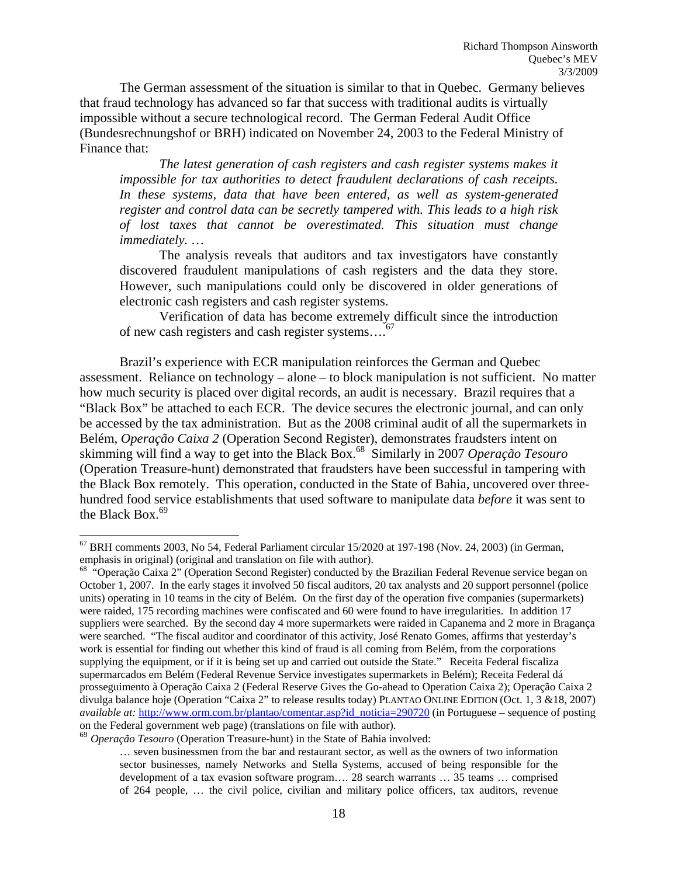The German assessment of the situation is similar to that in Quebec. Germany believes that fraud technology has advanced so far that success with traditional audits is virtually impossible without a secure technological record. The German Federal Audit Office (Bundesrechnungshof or BRH) indicated on November 24, 2003 to the Federal Ministry of Finance that:

*The latest generation of cash registers and cash register systems makes it impossible for tax authorities to detect fraudulent declarations of cash receipts. In these systems, data that have been entered, as well as system-generated register and control data can be secretly tampered with. This leads to a high risk of lost taxes that cannot be overestimated. This situation must change immediately.* …

The analysis reveals that auditors and tax investigators have constantly discovered fraudulent manipulations of cash registers and the data they store. However, such manipulations could only be discovered in older generations of electronic cash registers and cash register systems.

Verification of data has become extremely difficult since the introduction of new cash registers and cash register systems....<sup>67</sup>

Brazil's experience with ECR manipulation reinforces the German and Quebec assessment. Reliance on technology – alone – to block manipulation is not sufficient. No matter how much security is placed over digital records, an audit is necessary. Brazil requires that a "Black Box" be attached to each ECR. The device secures the electronic journal, and can only be accessed by the tax administration. But as the 2008 criminal audit of all the supermarkets in Belém, *Operação Caixa 2* (Operation Second Register), demonstrates fraudsters intent on skimming will find a way to get into the Black Box.68 Similarly in 2007 *Operação Tesouro* (Operation Treasure-hunt) demonstrated that fraudsters have been successful in tampering with the Black Box remotely. This operation, conducted in the State of Bahia, uncovered over threehundred food service establishments that used software to manipulate data *before* it was sent to the Black Box. $69$ 

<sup>69</sup> *Operação Tesouro* (Operation Treasure-hunt) in the State of Bahia involved:

 $^{67}$  BRH comments 2003, No 54, Federal Parliament circular  $15/2020$  at 197-198 (Nov. 24, 2003) (in German, emphasis in original) (original and translation on file with author).

<sup>&</sup>lt;sup>68</sup> "Operação Caixa 2" (Operation Second Register) conducted by the Brazilian Federal Revenue service began on October 1, 2007. In the early stages it involved 50 fiscal auditors, 20 tax analysts and 20 support personnel (police units) operating in 10 teams in the city of Belém. On the first day of the operation five companies (supermarkets) were raided, 175 recording machines were confiscated and 60 were found to have irregularities. In addition 17 suppliers were searched. By the second day 4 more supermarkets were raided in Capanema and 2 more in Bragança were searched. "The fiscal auditor and coordinator of this activity, José Renato Gomes, affirms that yesterday's work is essential for finding out whether this kind of fraud is all coming from Belém, from the corporations supplying the equipment, or if it is being set up and carried out outside the State." Receita Federal fiscaliza supermarcados em Belém (Federal Revenue Service investigates supermarkets in Belém); Receita Federal dá prosseguimento à Operação Caixa 2 (Federal Reserve Gives the Go-ahead to Operation Caixa 2); Operação Caixa 2 divulga balance hoje (Operation "Caixa 2" to release results today) PLANTAO ONLINE EDITION (Oct. 1, 3 &18, 2007) *available at:* http://www.orm.com.br/plantao/comentar.asp?id\_noticia=290720 (in Portuguese – sequence of posting on the Federal government web page) (translations on file with author).

<sup>…</sup> seven businessmen from the bar and restaurant sector, as well as the owners of two information sector businesses, namely Networks and Stella Systems, accused of being responsible for the development of a tax evasion software program…. 28 search warrants … 35 teams … comprised of 264 people, … the civil police, civilian and military police officers, tax auditors, revenue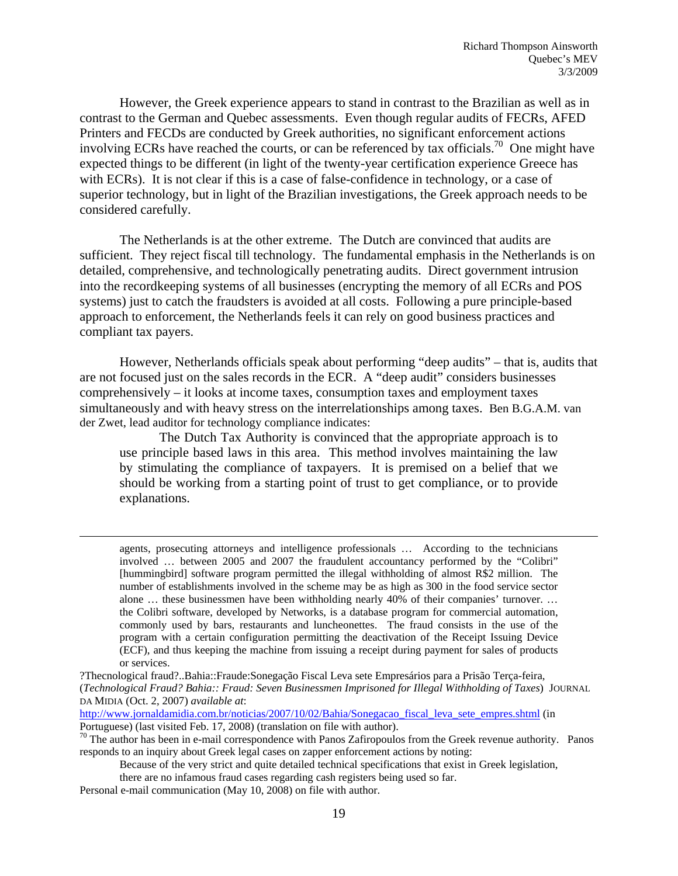However, the Greek experience appears to stand in contrast to the Brazilian as well as in contrast to the German and Quebec assessments. Even though regular audits of FECRs, AFED Printers and FECDs are conducted by Greek authorities, no significant enforcement actions involving ECRs have reached the courts, or can be referenced by tax officials.<sup>70</sup> One might have expected things to be different (in light of the twenty-year certification experience Greece has with ECRs). It is not clear if this is a case of false-confidence in technology, or a case of superior technology, but in light of the Brazilian investigations, the Greek approach needs to be considered carefully.

The Netherlands is at the other extreme. The Dutch are convinced that audits are sufficient. They reject fiscal till technology. The fundamental emphasis in the Netherlands is on detailed, comprehensive, and technologically penetrating audits. Direct government intrusion into the recordkeeping systems of all businesses (encrypting the memory of all ECRs and POS systems) just to catch the fraudsters is avoided at all costs. Following a pure principle-based approach to enforcement, the Netherlands feels it can rely on good business practices and compliant tax payers.

However, Netherlands officials speak about performing "deep audits" – that is, audits that are not focused just on the sales records in the ECR. A "deep audit" considers businesses comprehensively – it looks at income taxes, consumption taxes and employment taxes simultaneously and with heavy stress on the interrelationships among taxes. Ben B.G.A.M. van der Zwet, lead auditor for technology compliance indicates:

The Dutch Tax Authority is convinced that the appropriate approach is to use principle based laws in this area. This method involves maintaining the law by stimulating the compliance of taxpayers. It is premised on a belief that we should be working from a starting point of trust to get compliance, or to provide explanations.

http://www.jornaldamidia.com.br/noticias/2007/10/02/Bahia/Sonegacao\_fiscal\_leva\_sete\_empres.shtml (in Portuguese) (last visited Feb. 17, 2008) (translation on file with author).

Personal e-mail communication (May 10, 2008) on file with author.

agents, prosecuting attorneys and intelligence professionals … According to the technicians involved … between 2005 and 2007 the fraudulent accountancy performed by the "Colibri" [hummingbird] software program permitted the illegal withholding of almost R\$2 million. The number of establishments involved in the scheme may be as high as 300 in the food service sector alone … these businessmen have been withholding nearly 40% of their companies' turnover. … the Colibri software, developed by Networks, is a database program for commercial automation, commonly used by bars, restaurants and luncheonettes. The fraud consists in the use of the program with a certain configuration permitting the deactivation of the Receipt Issuing Device (ECF), and thus keeping the machine from issuing a receipt during payment for sales of products or services.

<sup>?</sup>Thecnological fraud?..Bahia::Fraude:Sonegação Fiscal Leva sete Empresários para a Prisão Terça-feira, (*Technological Fraud? Bahia:: Fraud: Seven Businessmen Imprisoned for Illegal Withholding of Taxes*) JOURNAL DA MIDIA (Oct. 2, 2007) *available at*:

 $70$  The author has been in e-mail correspondence with Panos Zafiropoulos from the Greek revenue authority. Panos responds to an inquiry about Greek legal cases on zapper enforcement actions by noting:

Because of the very strict and quite detailed technical specifications that exist in Greek legislation, there are no infamous fraud cases regarding cash registers being used so far.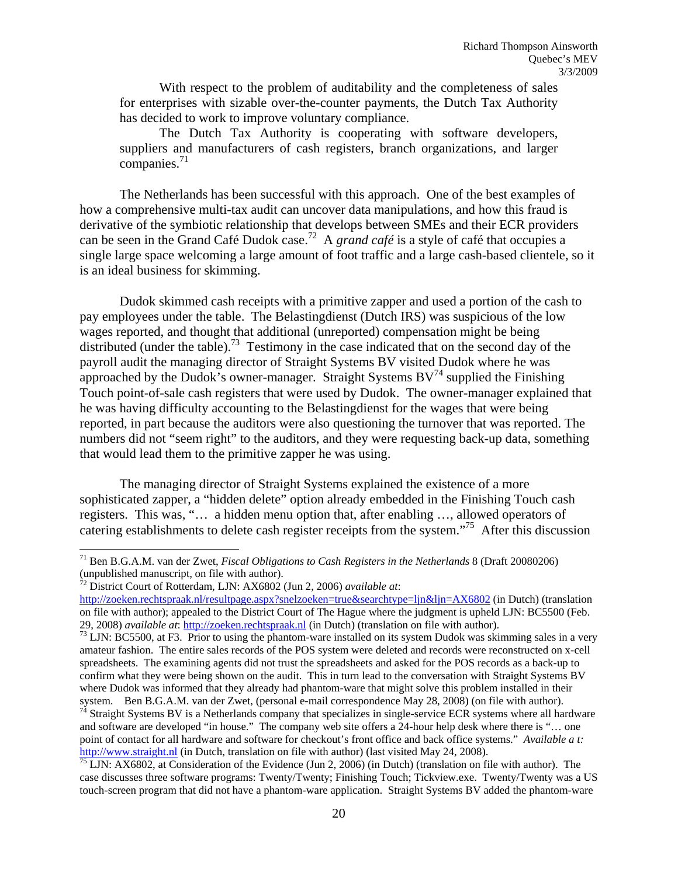With respect to the problem of auditability and the completeness of sales for enterprises with sizable over-the-counter payments, the Dutch Tax Authority has decided to work to improve voluntary compliance.

The Dutch Tax Authority is cooperating with software developers, suppliers and manufacturers of cash registers, branch organizations, and larger companies. $71$ 

 The Netherlands has been successful with this approach. One of the best examples of how a comprehensive multi-tax audit can uncover data manipulations, and how this fraud is derivative of the symbiotic relationship that develops between SMEs and their ECR providers can be seen in the Grand Café Dudok case.72 A *grand café* is a style of café that occupies a single large space welcoming a large amount of foot traffic and a large cash-based clientele, so it is an ideal business for skimming.

Dudok skimmed cash receipts with a primitive zapper and used a portion of the cash to pay employees under the table. The Belastingdienst (Dutch IRS) was suspicious of the low wages reported, and thought that additional (unreported) compensation might be being distributed (under the table).<sup>73</sup> Testimony in the case indicated that on the second day of the payroll audit the managing director of Straight Systems BV visited Dudok where he was approached by the Dudok's owner-manager. Straight Systems  $BV<sup>74</sup>$  supplied the Finishing Touch point-of-sale cash registers that were used by Dudok. The owner-manager explained that he was having difficulty accounting to the Belastingdienst for the wages that were being reported, in part because the auditors were also questioning the turnover that was reported. The numbers did not "seem right" to the auditors, and they were requesting back-up data, something that would lead them to the primitive zapper he was using.

The managing director of Straight Systems explained the existence of a more sophisticated zapper, a "hidden delete" option already embedded in the Finishing Touch cash registers. This was, "… a hidden menu option that, after enabling …, allowed operators of catering establishments to delete cash register receipts from the system."75 After this discussion

<sup>71</sup> Ben B.G.A.M. van der Zwet, *Fiscal Obligations to Cash Registers in the Netherlands* 8 (Draft 20080206) (unpublished manuscript, on file with author).

<sup>72</sup> District Court of Rotterdam, LJN: AX6802 (Jun 2, 2006) *available at*:

http://zoeken.rechtspraak.nl/resultpage.aspx?snelzoeken=true&searchtype=ljn&ljn=AX6802 (in Dutch) (translation on file with author); appealed to the District Court of The Hague where the judgment is upheld LJN: BC5500 (Feb. 29, 2008) *available at*: http://zoeken.rechtspraak.nl (in Dutch) (translation on file with author). 73 LJN: BC5500, at F3. Prior to using the phantom-ware installed on its system Dudok was skimming sales in a very

amateur fashion. The entire sales records of the POS system were deleted and records were reconstructed on x-cell spreadsheets. The examining agents did not trust the spreadsheets and asked for the POS records as a back-up to confirm what they were being shown on the audit. This in turn lead to the conversation with Straight Systems BV where Dudok was informed that they already had phantom-ware that might solve this problem installed in their system. Ben B.G.A.M. van der Zwet, (personal e-mail correspondence May 28, 2008) (on file with author).

Straight Systems BV is a Netherlands company that specializes in single-service ECR systems where all hardware and software are developed "in house." The company web site offers a 24-hour help desk where there is "… one point of contact for all hardware and software for checkout's front office and back office systems." *Available a t:*   $\frac{\text{http://www.straight.nl}}{75}$  LJN: AX6802, at Consideration of the Evidence (Jun 2, 2006) (in Dutch) (translation on file with author). The

case discusses three software programs: Twenty/Twenty; Finishing Touch; Tickview.exe. Twenty/Twenty was a US touch-screen program that did not have a phantom-ware application. Straight Systems BV added the phantom-ware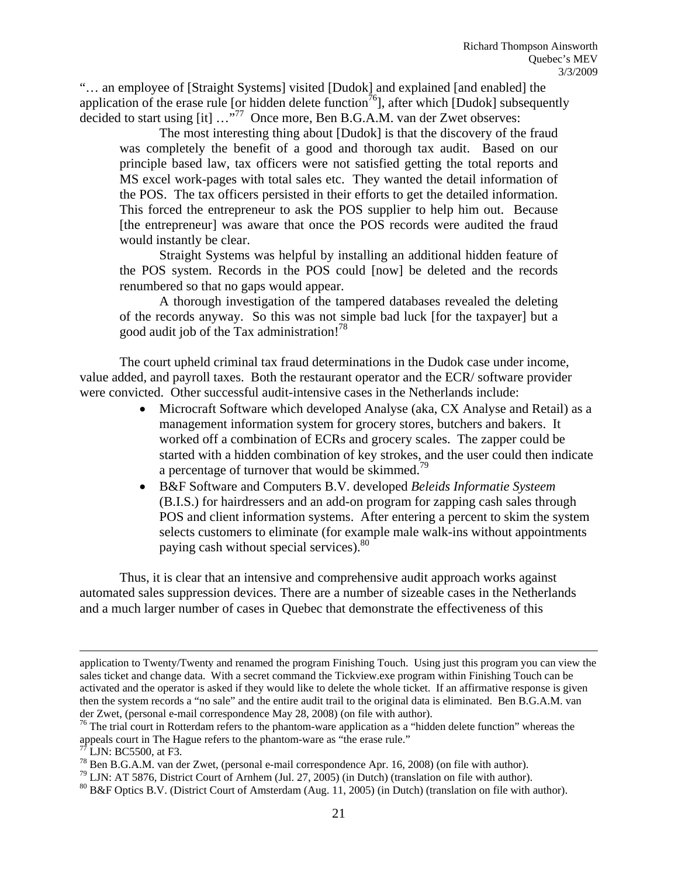"… an employee of [Straight Systems] visited [Dudok] and explained [and enabled] the application of the erase rule [or hidden delete function<sup>76</sup>], after which [Dudok] subsequently decided to start using [it] …"77 Once more, Ben B.G.A.M. van der Zwet observes:

The most interesting thing about [Dudok] is that the discovery of the fraud was completely the benefit of a good and thorough tax audit. Based on our principle based law, tax officers were not satisfied getting the total reports and MS excel work-pages with total sales etc. They wanted the detail information of the POS. The tax officers persisted in their efforts to get the detailed information. This forced the entrepreneur to ask the POS supplier to help him out. Because [the entrepreneur] was aware that once the POS records were audited the fraud would instantly be clear.

Straight Systems was helpful by installing an additional hidden feature of the POS system. Records in the POS could [now] be deleted and the records renumbered so that no gaps would appear.

A thorough investigation of the tampered databases revealed the deleting of the records anyway. So this was not simple bad luck [for the taxpayer] but a good audit job of the Tax administration!<sup>78</sup>

The court upheld criminal tax fraud determinations in the Dudok case under income, value added, and payroll taxes. Both the restaurant operator and the ECR/ software provider were convicted. Other successful audit-intensive cases in the Netherlands include:

- Microcraft Software which developed Analyse (aka, CX Analyse and Retail) as a management information system for grocery stores, butchers and bakers. It worked off a combination of ECRs and grocery scales. The zapper could be started with a hidden combination of key strokes, and the user could then indicate a percentage of turnover that would be skimmed.<sup>79</sup>
- B&F Software and Computers B.V. developed *Beleids Informatie Systeem* (B.I.S.) for hairdressers and an add-on program for zapping cash sales through POS and client information systems. After entering a percent to skim the system selects customers to eliminate (for example male walk-ins without appointments paying cash without special services).<sup>80</sup>

Thus, it is clear that an intensive and comprehensive audit approach works against automated sales suppression devices. There are a number of sizeable cases in the Netherlands and a much larger number of cases in Quebec that demonstrate the effectiveness of this

application to Twenty/Twenty and renamed the program Finishing Touch. Using just this program you can view the sales ticket and change data. With a secret command the Tickview.exe program within Finishing Touch can be activated and the operator is asked if they would like to delete the whole ticket. If an affirmative response is given then the system records a "no sale" and the entire audit trail to the original data is eliminated. Ben B.G.A.M. van der Zwet, (personal e-mail correspondence May 28, 2008) (on file with author).

 $76$  The trial court in Rotterdam refers to the phantom-ware application as a "hidden delete function" whereas the appeals court in The Hague refers to the phantom-ware as "the erase rule."<br> $\frac{77}{11}$  IN: PC5500 -  $\frac{17}{10}$ 

LJN: BC5500, at F3.

<sup>78</sup> Ben B.G.A.M. van der Zwet, (personal e-mail correspondence Apr. 16, 2008) (on file with author).

 $^{79}$  LJN: AT 5876, District Court of Arnhem (Jul. 27, 2005) (in Dutch) (translation on file with author).

<sup>80</sup> B&F Optics B.V. (District Court of Amsterdam (Aug. 11, 2005) (in Dutch) (translation on file with author).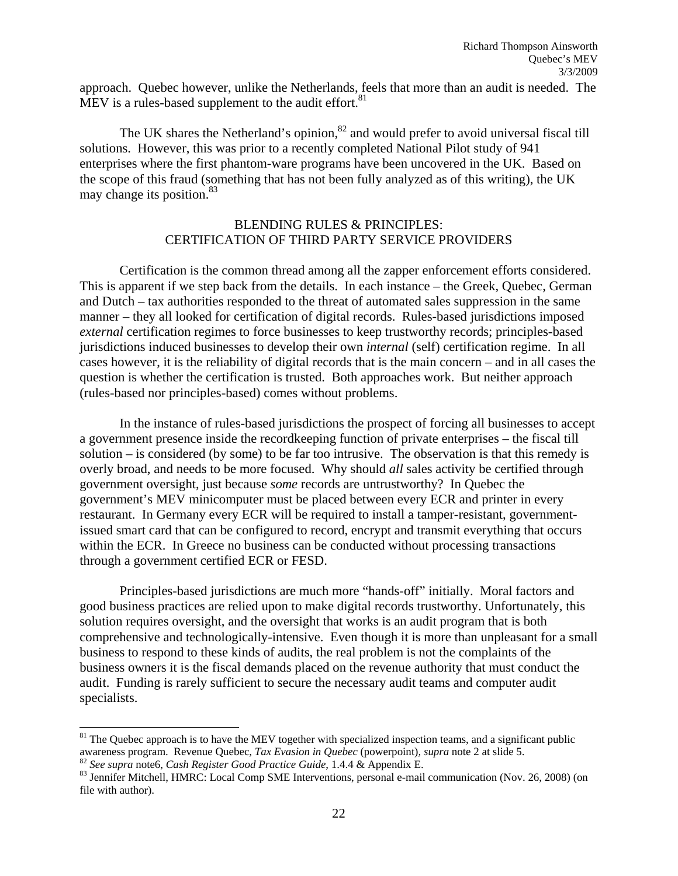approach. Quebec however, unlike the Netherlands, feels that more than an audit is needed. The MEV is a rules-based supplement to the audit effort.<sup>81</sup>

The UK shares the Netherland's opinion, $82$  and would prefer to avoid universal fiscal till solutions. However, this was prior to a recently completed National Pilot study of 941 enterprises where the first phantom-ware programs have been uncovered in the UK. Based on the scope of this fraud (something that has not been fully analyzed as of this writing), the UK may change its position.<sup>83</sup>

#### BLENDING RULES & PRINCIPLES: CERTIFICATION OF THIRD PARTY SERVICE PROVIDERS

Certification is the common thread among all the zapper enforcement efforts considered. This is apparent if we step back from the details. In each instance – the Greek, Quebec, German and Dutch – tax authorities responded to the threat of automated sales suppression in the same manner – they all looked for certification of digital records. Rules-based jurisdictions imposed *external* certification regimes to force businesses to keep trustworthy records; principles-based jurisdictions induced businesses to develop their own *internal* (self) certification regime. In all cases however, it is the reliability of digital records that is the main concern – and in all cases the question is whether the certification is trusted. Both approaches work. But neither approach (rules-based nor principles-based) comes without problems.

In the instance of rules-based jurisdictions the prospect of forcing all businesses to accept a government presence inside the recordkeeping function of private enterprises – the fiscal till solution – is considered (by some) to be far too intrusive. The observation is that this remedy is overly broad, and needs to be more focused. Why should *all* sales activity be certified through government oversight, just because *some* records are untrustworthy? In Quebec the government's MEV minicomputer must be placed between every ECR and printer in every restaurant. In Germany every ECR will be required to install a tamper-resistant, governmentissued smart card that can be configured to record, encrypt and transmit everything that occurs within the ECR. In Greece no business can be conducted without processing transactions through a government certified ECR or FESD.

Principles-based jurisdictions are much more "hands-off" initially. Moral factors and good business practices are relied upon to make digital records trustworthy. Unfortunately, this solution requires oversight, and the oversight that works is an audit program that is both comprehensive and technologically-intensive. Even though it is more than unpleasant for a small business to respond to these kinds of audits, the real problem is not the complaints of the business owners it is the fiscal demands placed on the revenue authority that must conduct the audit. Funding is rarely sufficient to secure the necessary audit teams and computer audit specialists.

<sup>&</sup>lt;sup>81</sup> The Quebec approach is to have the MEV together with specialized inspection teams, and a significant public awareness program. Revenue Quebec, *Tax Evasion in Quebec* (powerpoint), *supra* note 2 at slide 5.

<sup>&</sup>lt;sup>82</sup> See supra note6, Cash Register Good Practice Guide, 1.4.4 & Appendix E.<br><sup>83</sup> Jennifer Mitchell, HMRC: Local Comp SME Interventions, personal e-mail communication (Nov. 26, 2008) (on file with author).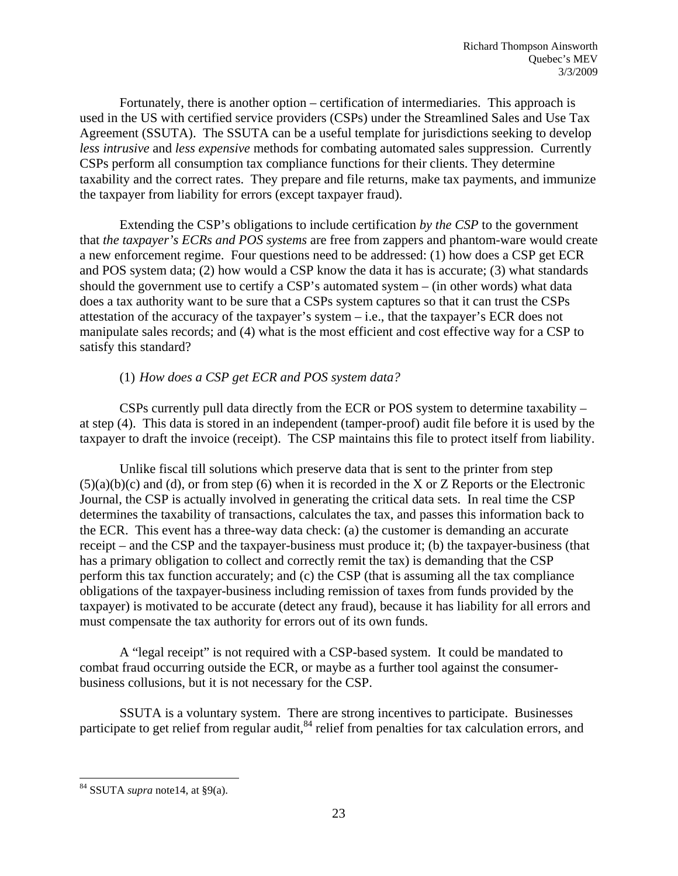Fortunately, there is another option – certification of intermediaries. This approach is used in the US with certified service providers (CSPs) under the Streamlined Sales and Use Tax Agreement (SSUTA). The SSUTA can be a useful template for jurisdictions seeking to develop *less intrusive* and *less expensive* methods for combating automated sales suppression. Currently CSPs perform all consumption tax compliance functions for their clients. They determine taxability and the correct rates. They prepare and file returns, make tax payments, and immunize the taxpayer from liability for errors (except taxpayer fraud).

Extending the CSP's obligations to include certification *by the CSP* to the government that *the taxpayer's ECRs and POS systems* are free from zappers and phantom-ware would create a new enforcement regime. Four questions need to be addressed: (1) how does a CSP get ECR and POS system data; (2) how would a CSP know the data it has is accurate; (3) what standards should the government use to certify a CSP's automated system – (in other words) what data does a tax authority want to be sure that a CSPs system captures so that it can trust the CSPs attestation of the accuracy of the taxpayer's system – i.e., that the taxpayer's ECR does not manipulate sales records; and (4) what is the most efficient and cost effective way for a CSP to satisfy this standard?

#### (1) *How does a CSP get ECR and POS system data?*

CSPs currently pull data directly from the ECR or POS system to determine taxability – at step (4). This data is stored in an independent (tamper-proof) audit file before it is used by the taxpayer to draft the invoice (receipt). The CSP maintains this file to protect itself from liability.

Unlike fiscal till solutions which preserve data that is sent to the printer from step  $(5)(a)(b)(c)$  and (d), or from step (6) when it is recorded in the X or Z Reports or the Electronic Journal, the CSP is actually involved in generating the critical data sets. In real time the CSP determines the taxability of transactions, calculates the tax, and passes this information back to the ECR. This event has a three-way data check: (a) the customer is demanding an accurate receipt – and the CSP and the taxpayer-business must produce it; (b) the taxpayer-business (that has a primary obligation to collect and correctly remit the tax) is demanding that the CSP perform this tax function accurately; and (c) the CSP (that is assuming all the tax compliance obligations of the taxpayer-business including remission of taxes from funds provided by the taxpayer) is motivated to be accurate (detect any fraud), because it has liability for all errors and must compensate the tax authority for errors out of its own funds.

A "legal receipt" is not required with a CSP-based system. It could be mandated to combat fraud occurring outside the ECR, or maybe as a further tool against the consumerbusiness collusions, but it is not necessary for the CSP.

SSUTA is a voluntary system. There are strong incentives to participate. Businesses participate to get relief from regular audit,<sup>84</sup> relief from penalties for tax calculation errors, and

l 84 SSUTA *supra* note14, at §9(a).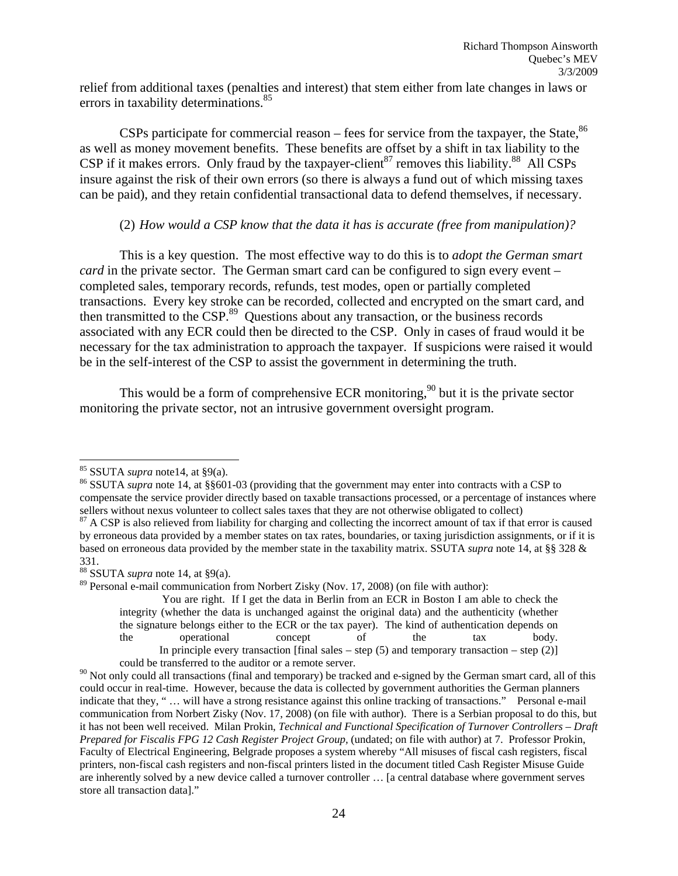relief from additional taxes (penalties and interest) that stem either from late changes in laws or errors in taxability determinations.<sup>85</sup>

CSPs participate for commercial reason – fees for service from the taxpayer, the State,  $86$ as well as money movement benefits. These benefits are offset by a shift in tax liability to the CSP if it makes errors. Only fraud by the taxpayer-client  $87$  removes this liability.  $88$  All CSPs insure against the risk of their own errors (so there is always a fund out of which missing taxes can be paid), and they retain confidential transactional data to defend themselves, if necessary.

#### (2) *How would a CSP know that the data it has is accurate (free from manipulation)?*

This is a key question. The most effective way to do this is to *adopt the German smart card* in the private sector. The German smart card can be configured to sign every event – completed sales, temporary records, refunds, test modes, open or partially completed transactions. Every key stroke can be recorded, collected and encrypted on the smart card, and then transmitted to the CSP.89 Questions about any transaction, or the business records associated with any ECR could then be directed to the CSP. Only in cases of fraud would it be necessary for the tax administration to approach the taxpayer. If suspicions were raised it would be in the self-interest of the CSP to assist the government in determining the truth.

This would be a form of comprehensive ECR monitoring,  $90$  but it is the private sector monitoring the private sector, not an intrusive government oversight program.

l

<sup>85</sup> SSUTA *supra* note 14, at §9(a).<br><sup>86</sup> SSUTA *supra* note 14, at §§601-03 (providing that the government may enter into contracts with a CSP to compensate the service provider directly based on taxable transactions processed, or a percentage of instances where sellers without nexus volunteer to collect sales taxes that they are not otherwise obligated to collect)

 $87$  A CSP is also relieved from liability for charging and collecting the incorrect amount of tax if that error is caused by erroneous data provided by a member states on tax rates, boundaries, or taxing jurisdiction assignments, or if it is based on erroneous data provided by the member state in the taxability matrix. SSUTA *supra* note 14, at §§ 328 & 331.

<sup>88</sup> SSUTA *supra* note 14, at §9(a).

 $89$  Personal e-mail communication from Norbert Zisky (Nov. 17, 2008) (on file with author):

You are right. If I get the data in Berlin from an ECR in Boston I am able to check the integrity (whether the data is unchanged against the original data) and the authenticity (whether the signature belongs either to the ECR or the tax payer). The kind of authentication depends on the operational concept of the tax body. In principle every transaction [final sales – step  $(5)$  and temporary transaction – step  $(2)$ ] could be transferred to the auditor or a remote server.

 $90$  Not only could all transactions (final and temporary) be tracked and e-signed by the German smart card, all of this could occur in real-time. However, because the data is collected by government authorities the German planners indicate that they, " ... will have a strong resistance against this online tracking of transactions." Personal e-mail communication from Norbert Zisky (Nov. 17, 2008) (on file with author). There is a Serbian proposal to do this, but it has not been well received. Milan Prokin, *Technical and Functional Specification of Turnover Controllers – Draft Prepared for Fiscalis FPG 12 Cash Register Project Group,* (undated; on file with author) at 7. Professor Prokin, Faculty of Electrical Engineering, Belgrade proposes a system whereby "All misuses of fiscal cash registers, fiscal printers, non-fiscal cash registers and non-fiscal printers listed in the document titled Cash Register Misuse Guide are inherently solved by a new device called a turnover controller … [a central database where government serves store all transaction data]."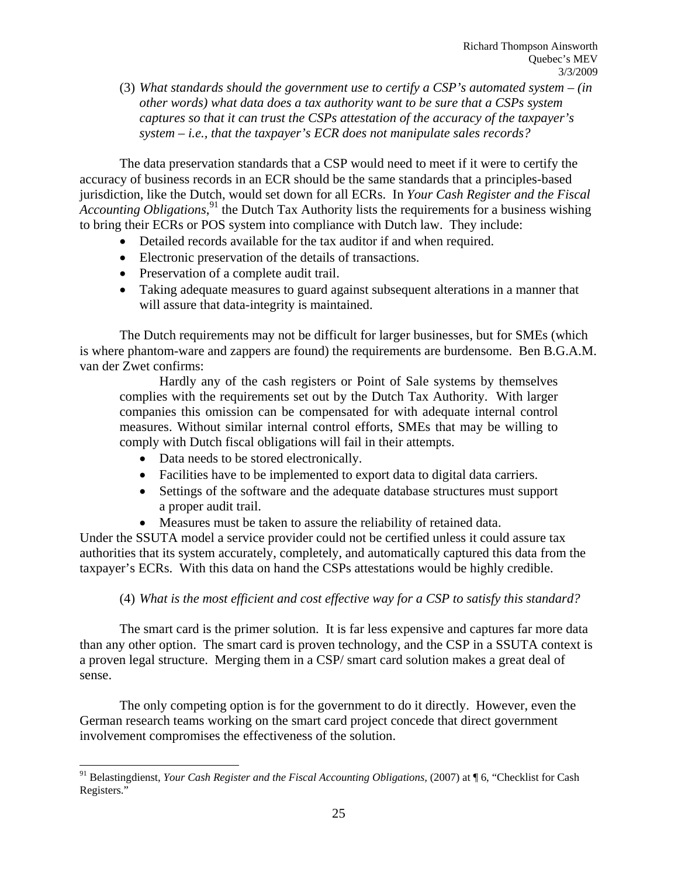(3) *What standards should the government use to certify a CSP's automated system – (in other words) what data does a tax authority want to be sure that a CSPs system captures so that it can trust the CSPs attestation of the accuracy of the taxpayer's system – i.e., that the taxpayer's ECR does not manipulate sales records?* 

The data preservation standards that a CSP would need to meet if it were to certify the accuracy of business records in an ECR should be the same standards that a principles-based jurisdiction, like the Dutch, would set down for all ECRs. In *Your Cash Register and the Fiscal*  Accounting Obligations,<sup>91</sup> the Dutch Tax Authority lists the requirements for a business wishing to bring their ECRs or POS system into compliance with Dutch law. They include:

- Detailed records available for the tax auditor if and when required.
- Electronic preservation of the details of transactions.
- Preservation of a complete audit trail.
- Taking adequate measures to guard against subsequent alterations in a manner that will assure that data-integrity is maintained.

The Dutch requirements may not be difficult for larger businesses, but for SMEs (which is where phantom-ware and zappers are found) the requirements are burdensome. Ben B.G.A.M. van der Zwet confirms:

Hardly any of the cash registers or Point of Sale systems by themselves complies with the requirements set out by the Dutch Tax Authority. With larger companies this omission can be compensated for with adequate internal control measures. Without similar internal control efforts, SMEs that may be willing to comply with Dutch fiscal obligations will fail in their attempts.

• Data needs to be stored electronically.

l

- Facilities have to be implemented to export data to digital data carriers.
- Settings of the software and the adequate database structures must support a proper audit trail.
- Measures must be taken to assure the reliability of retained data.

Under the SSUTA model a service provider could not be certified unless it could assure tax authorities that its system accurately, completely, and automatically captured this data from the taxpayer's ECRs. With this data on hand the CSPs attestations would be highly credible.

#### (4) *What is the most efficient and cost effective way for a CSP to satisfy this standard?*

The smart card is the primer solution. It is far less expensive and captures far more data than any other option. The smart card is proven technology, and the CSP in a SSUTA context is a proven legal structure. Merging them in a CSP/ smart card solution makes a great deal of sense.

The only competing option is for the government to do it directly. However, even the German research teams working on the smart card project concede that direct government involvement compromises the effectiveness of the solution.

<sup>&</sup>lt;sup>91</sup> Belastingdienst, *Your Cash Register and the Fiscal Accounting Obligations*, (2007) at ¶ 6, "Checklist for Cash Registers."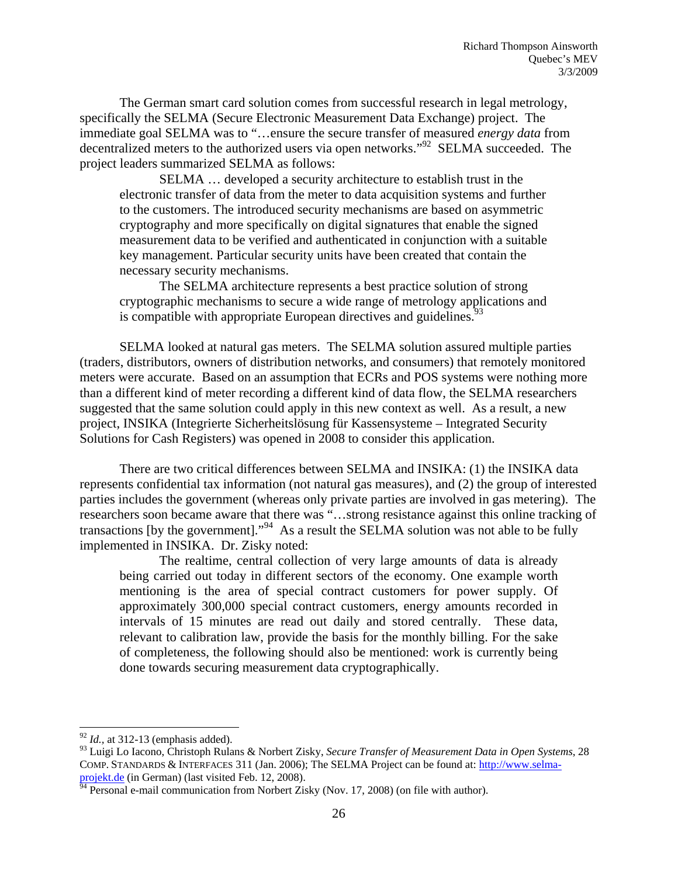The German smart card solution comes from successful research in legal metrology, specifically the SELMA (Secure Electronic Measurement Data Exchange) project. The immediate goal SELMA was to "…ensure the secure transfer of measured *energy data* from decentralized meters to the authorized users via open networks."<sup>92</sup> SELMA succeeded. The project leaders summarized SELMA as follows:

SELMA … developed a security architecture to establish trust in the electronic transfer of data from the meter to data acquisition systems and further to the customers. The introduced security mechanisms are based on asymmetric cryptography and more specifically on digital signatures that enable the signed measurement data to be verified and authenticated in conjunction with a suitable key management. Particular security units have been created that contain the necessary security mechanisms.

The SELMA architecture represents a best practice solution of strong cryptographic mechanisms to secure a wide range of metrology applications and is compatible with appropriate European directives and guidelines.<sup>93</sup>

SELMA looked at natural gas meters. The SELMA solution assured multiple parties (traders, distributors, owners of distribution networks, and consumers) that remotely monitored meters were accurate. Based on an assumption that ECRs and POS systems were nothing more than a different kind of meter recording a different kind of data flow, the SELMA researchers suggested that the same solution could apply in this new context as well. As a result, a new project, INSIKA (Integrierte Sicherheitslösung für Kassensysteme – Integrated Security Solutions for Cash Registers) was opened in 2008 to consider this application.

There are two critical differences between SELMA and INSIKA: (1) the INSIKA data represents confidential tax information (not natural gas measures), and (2) the group of interested parties includes the government (whereas only private parties are involved in gas metering). The researchers soon became aware that there was "…strong resistance against this online tracking of transactions [by the government]."94 As a result the SELMA solution was not able to be fully implemented in INSIKA. Dr. Zisky noted:

The realtime, central collection of very large amounts of data is already being carried out today in different sectors of the economy. One example worth mentioning is the area of special contract customers for power supply. Of approximately 300,000 special contract customers, energy amounts recorded in intervals of 15 minutes are read out daily and stored centrally. These data, relevant to calibration law, provide the basis for the monthly billing. For the sake of completeness, the following should also be mentioned: work is currently being done towards securing measurement data cryptographically.

<sup>&</sup>lt;sup>92</sup> *Id.*, at 312-13 (emphasis added).

<sup>93</sup> Luigi Lo Iacono, Christoph Rulans & Norbert Zisky, *Secure Transfer of Measurement Data in Open Systems*, 28 COMP. STANDARDS & INTERFACES 311 (Jan. 2006); The SELMA Project can be found at: http://www.selmaprojekt.de (in German) (last visited Feb. 12, 2008).

 $\frac{64}{94}$  Personal e-mail communication from Norbert Zisky (Nov. 17, 2008) (on file with author).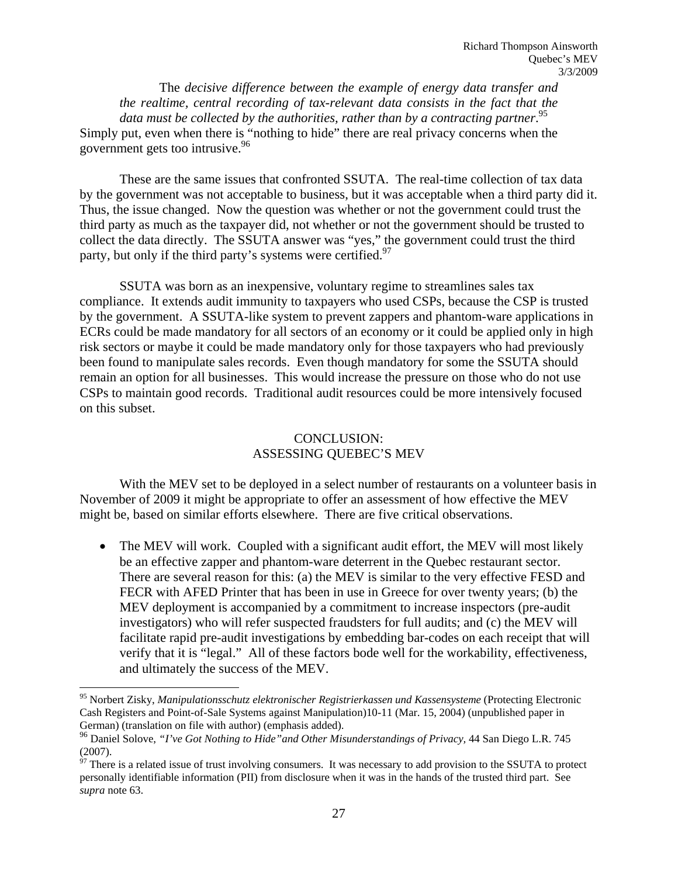The *decisive difference between the example of energy data transfer and the realtime, central recording of tax-relevant data consists in the fact that the data must be collected by the authorities, rather than by a contracting partner*. 95 Simply put, even when there is "nothing to hide" there are real privacy concerns when the government gets too intrusive.<sup>96</sup>

These are the same issues that confronted SSUTA. The real-time collection of tax data by the government was not acceptable to business, but it was acceptable when a third party did it. Thus, the issue changed. Now the question was whether or not the government could trust the third party as much as the taxpayer did, not whether or not the government should be trusted to collect the data directly. The SSUTA answer was "yes," the government could trust the third party, but only if the third party's systems were certified.<sup>97</sup>

SSUTA was born as an inexpensive, voluntary regime to streamlines sales tax compliance. It extends audit immunity to taxpayers who used CSPs, because the CSP is trusted by the government. A SSUTA-like system to prevent zappers and phantom-ware applications in ECRs could be made mandatory for all sectors of an economy or it could be applied only in high risk sectors or maybe it could be made mandatory only for those taxpayers who had previously been found to manipulate sales records. Even though mandatory for some the SSUTA should remain an option for all businesses. This would increase the pressure on those who do not use CSPs to maintain good records. Traditional audit resources could be more intensively focused on this subset.

#### CONCLUSION: ASSESSING QUEBEC'S MEV

With the MEV set to be deployed in a select number of restaurants on a volunteer basis in November of 2009 it might be appropriate to offer an assessment of how effective the MEV might be, based on similar efforts elsewhere. There are five critical observations.

• The MEV will work. Coupled with a significant audit effort, the MEV will most likely be an effective zapper and phantom-ware deterrent in the Quebec restaurant sector. There are several reason for this: (a) the MEV is similar to the very effective FESD and FECR with AFED Printer that has been in use in Greece for over twenty years; (b) the MEV deployment is accompanied by a commitment to increase inspectors (pre-audit investigators) who will refer suspected fraudsters for full audits; and (c) the MEV will facilitate rapid pre-audit investigations by embedding bar-codes on each receipt that will verify that it is "legal." All of these factors bode well for the workability, effectiveness, and ultimately the success of the MEV.

<sup>&</sup>lt;sup>95</sup> Norbert Zisky, *Manipulationsschutz elektronischer Registrierkassen und Kassensysteme* (Protecting Electronic Cash Registers and Point-of-Sale Systems against Manipulation)10-11 (Mar. 15, 2004) (unpublished paper in German) (translation on file with author) (emphasis added).

<sup>96</sup> Daniel Solove, *"I've Got Nothing to Hide"and Other Misunderstandings of Privacy,* 44 San Diego L.R. 745 (2007).

 $97$  There is a related issue of trust involving consumers. It was necessary to add provision to the SSUTA to protect personally identifiable information (PII) from disclosure when it was in the hands of the trusted third part. See *supra* note 63.